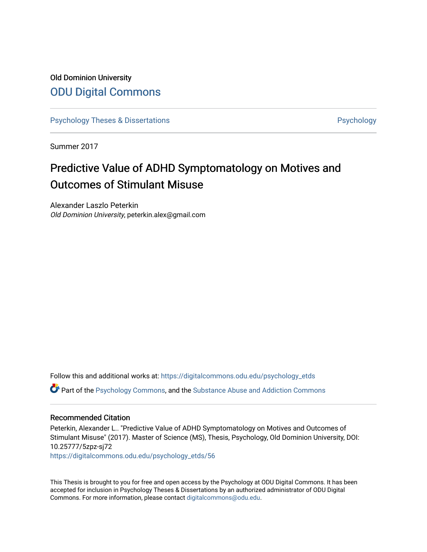## Old Dominion University [ODU Digital Commons](https://digitalcommons.odu.edu/)

[Psychology Theses & Dissertations](https://digitalcommons.odu.edu/psychology_etds) **Psychology** Psychology

Summer 2017

# Predictive Value of ADHD Symptomatology on Motives and Outcomes of Stimulant Misuse

Alexander Laszlo Peterkin Old Dominion University, peterkin.alex@gmail.com

Follow this and additional works at: [https://digitalcommons.odu.edu/psychology\\_etds](https://digitalcommons.odu.edu/psychology_etds?utm_source=digitalcommons.odu.edu%2Fpsychology_etds%2F56&utm_medium=PDF&utm_campaign=PDFCoverPages)

Part of the [Psychology Commons,](http://network.bepress.com/hgg/discipline/404?utm_source=digitalcommons.odu.edu%2Fpsychology_etds%2F56&utm_medium=PDF&utm_campaign=PDFCoverPages) and the [Substance Abuse and Addiction Commons](http://network.bepress.com/hgg/discipline/710?utm_source=digitalcommons.odu.edu%2Fpsychology_etds%2F56&utm_medium=PDF&utm_campaign=PDFCoverPages) 

## Recommended Citation

Peterkin, Alexander L.. "Predictive Value of ADHD Symptomatology on Motives and Outcomes of Stimulant Misuse" (2017). Master of Science (MS), Thesis, Psychology, Old Dominion University, DOI: 10.25777/5zpz-sj72

[https://digitalcommons.odu.edu/psychology\\_etds/56](https://digitalcommons.odu.edu/psychology_etds/56?utm_source=digitalcommons.odu.edu%2Fpsychology_etds%2F56&utm_medium=PDF&utm_campaign=PDFCoverPages) 

This Thesis is brought to you for free and open access by the Psychology at ODU Digital Commons. It has been accepted for inclusion in Psychology Theses & Dissertations by an authorized administrator of ODU Digital Commons. For more information, please contact [digitalcommons@odu.edu](mailto:digitalcommons@odu.edu).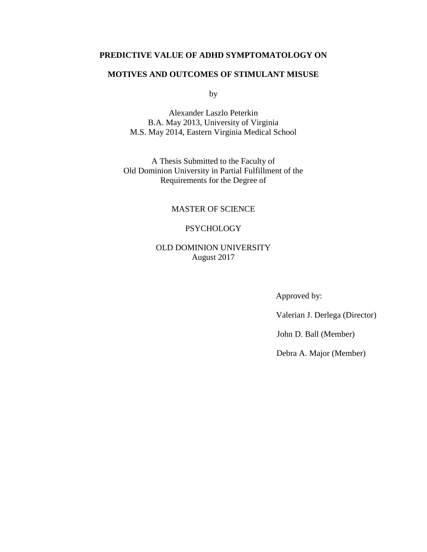## **PREDICTIVE VALUE OF ADHD SYMPTOMATOLOGY ON**

## **MOTIVES AND OUTCOMES OF STIMULANT MISUSE**

by

Alexander Laszlo Peterkin B.A. May 2013, University of Virginia M.S. May 2014, Eastern Virginia Medical School

A Thesis Submitted to the Faculty of Old Dominion University in Partial Fulfillment of the Requirements for the Degree of

## MASTER OF SCIENCE

## **PSYCHOLOGY**

## OLD DOMINION UNIVERSITY August 2017

Approved by:

Valerian J. Derlega (Director)

John D. Ball (Member)

Debra A. Major (Member)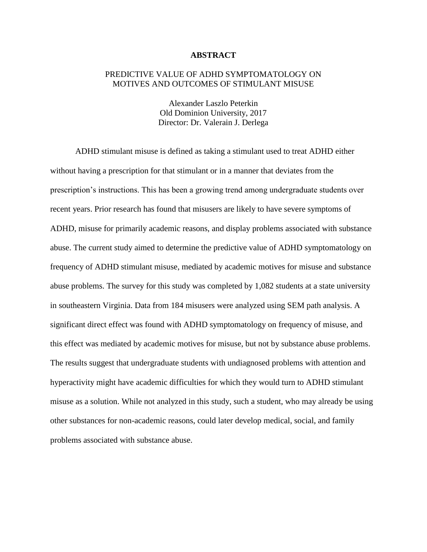#### **ABSTRACT**

## PREDICTIVE VALUE OF ADHD SYMPTOMATOLOGY ON MOTIVES AND OUTCOMES OF STIMULANT MISUSE

Alexander Laszlo Peterkin Old Dominion University, 2017 Director: Dr. Valerain J. Derlega

ADHD stimulant misuse is defined as taking a stimulant used to treat ADHD either without having a prescription for that stimulant or in a manner that deviates from the prescription's instructions. This has been a growing trend among undergraduate students over recent years. Prior research has found that misusers are likely to have severe symptoms of ADHD, misuse for primarily academic reasons, and display problems associated with substance abuse. The current study aimed to determine the predictive value of ADHD symptomatology on frequency of ADHD stimulant misuse, mediated by academic motives for misuse and substance abuse problems. The survey for this study was completed by 1,082 students at a state university in southeastern Virginia. Data from 184 misusers were analyzed using SEM path analysis. A significant direct effect was found with ADHD symptomatology on frequency of misuse, and this effect was mediated by academic motives for misuse, but not by substance abuse problems. The results suggest that undergraduate students with undiagnosed problems with attention and hyperactivity might have academic difficulties for which they would turn to ADHD stimulant misuse as a solution. While not analyzed in this study, such a student, who may already be using other substances for non-academic reasons, could later develop medical, social, and family problems associated with substance abuse.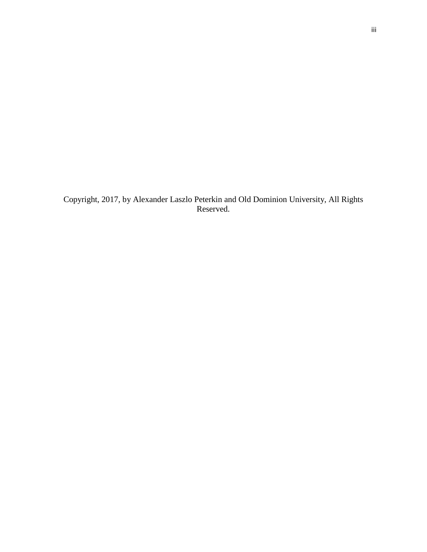Copyright, 2017, by Alexander Laszlo Peterkin and Old Dominion University, All Rights Reserved.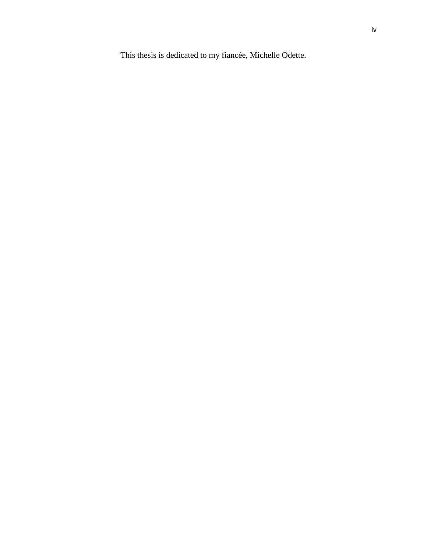This thesis is dedicated to my fiancée, Michelle Odette.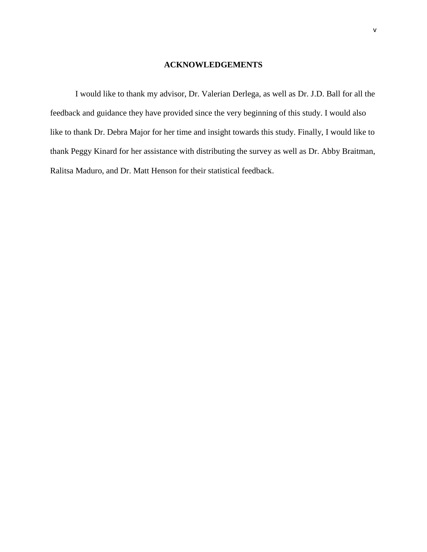#### **ACKNOWLEDGEMENTS**

I would like to thank my advisor, Dr. Valerian Derlega, as well as Dr. J.D. Ball for all the feedback and guidance they have provided since the very beginning of this study. I would also like to thank Dr. Debra Major for her time and insight towards this study. Finally, I would like to thank Peggy Kinard for her assistance with distributing the survey as well as Dr. Abby Braitman, Ralitsa Maduro, and Dr. Matt Henson for their statistical feedback.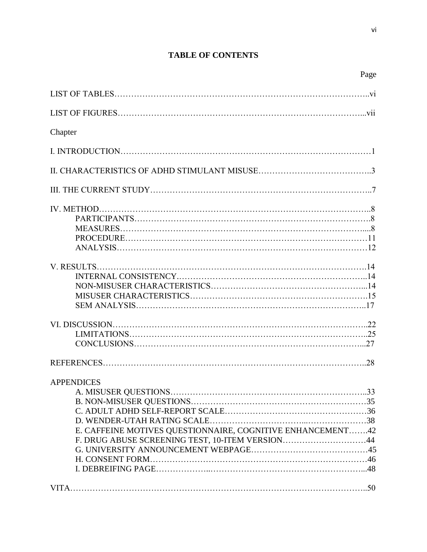## **TABLE OF CONTENTS**

|                                                                                                                                    | Page |
|------------------------------------------------------------------------------------------------------------------------------------|------|
|                                                                                                                                    |      |
|                                                                                                                                    |      |
| Chapter                                                                                                                            |      |
|                                                                                                                                    |      |
|                                                                                                                                    |      |
|                                                                                                                                    |      |
|                                                                                                                                    |      |
|                                                                                                                                    |      |
| <b>APPENDICES</b><br>E. CAFFEINE MOTIVES QUESTIONNAIRE, COGNITIVE ENHANCEMENT42<br>F. DRUG ABUSE SCREENING TEST, 10-ITEM VERSION44 |      |
|                                                                                                                                    |      |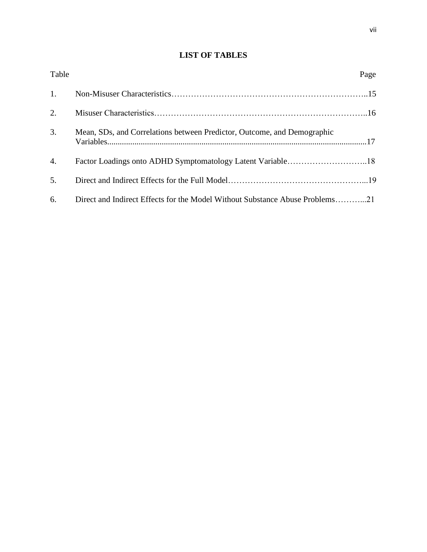## **LIST OF TABLES**

| Table            | Page                                                                         |  |
|------------------|------------------------------------------------------------------------------|--|
| 1.               |                                                                              |  |
| 2.               |                                                                              |  |
| 3.               | Mean, SDs, and Correlations between Predictor, Outcome, and Demographic      |  |
| $\overline{4}$ . | Factor Loadings onto ADHD Symptomatology Latent Variable18                   |  |
| 5.               |                                                                              |  |
| 6.               | Direct and Indirect Effects for the Model Without Substance Abuse Problems21 |  |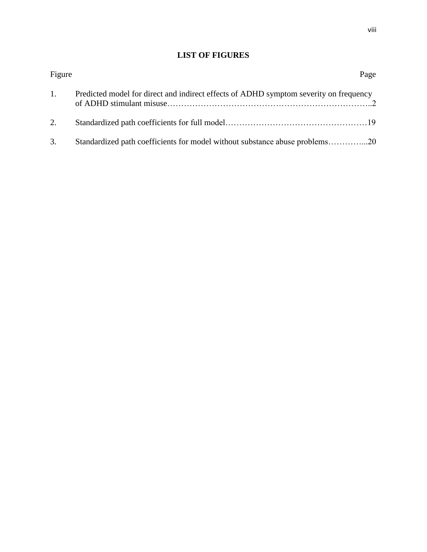## **LIST OF FIGURES**

| Figure | Page                                                                                  |
|--------|---------------------------------------------------------------------------------------|
| 1.     | Predicted model for direct and indirect effects of ADHD symptom severity on frequency |
| 2.     |                                                                                       |
| 3.     | Standardized path coefficients for model without substance abuse problems20           |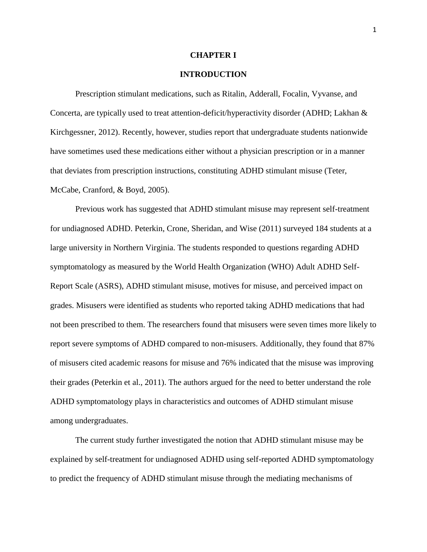#### **CHAPTER I**

### **INTRODUCTION**

Prescription stimulant medications, such as Ritalin, Adderall, Focalin, Vyvanse, and Concerta, are typically used to treat attention-deficit/hyperactivity disorder (ADHD; Lakhan & Kirchgessner, 2012). Recently, however, studies report that undergraduate students nationwide have sometimes used these medications either without a physician prescription or in a manner that deviates from prescription instructions, constituting ADHD stimulant misuse (Teter, McCabe, Cranford, & Boyd, 2005).

Previous work has suggested that ADHD stimulant misuse may represent self-treatment for undiagnosed ADHD. Peterkin, Crone, Sheridan, and Wise (2011) surveyed 184 students at a large university in Northern Virginia. The students responded to questions regarding ADHD symptomatology as measured by the World Health Organization (WHO) Adult ADHD Self-Report Scale (ASRS), ADHD stimulant misuse, motives for misuse, and perceived impact on grades. Misusers were identified as students who reported taking ADHD medications that had not been prescribed to them. The researchers found that misusers were seven times more likely to report severe symptoms of ADHD compared to non-misusers. Additionally, they found that 87% of misusers cited academic reasons for misuse and 76% indicated that the misuse was improving their grades (Peterkin et al., 2011). The authors argued for the need to better understand the role ADHD symptomatology plays in characteristics and outcomes of ADHD stimulant misuse among undergraduates.

The current study further investigated the notion that ADHD stimulant misuse may be explained by self-treatment for undiagnosed ADHD using self-reported ADHD symptomatology to predict the frequency of ADHD stimulant misuse through the mediating mechanisms of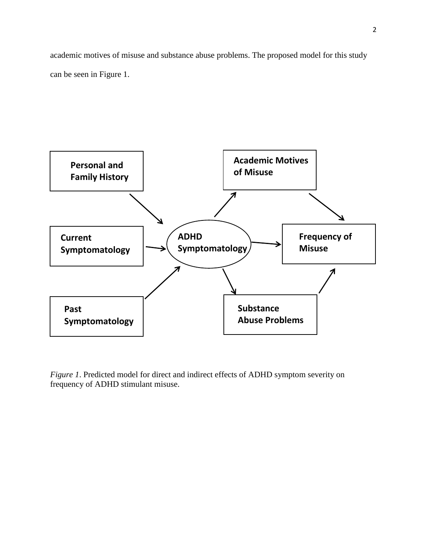academic motives of misuse and substance abuse problems. The proposed model for this study can be seen in Figure 1.



*Figure 1*. Predicted model for direct and indirect effects of ADHD symptom severity on frequency of ADHD stimulant misuse.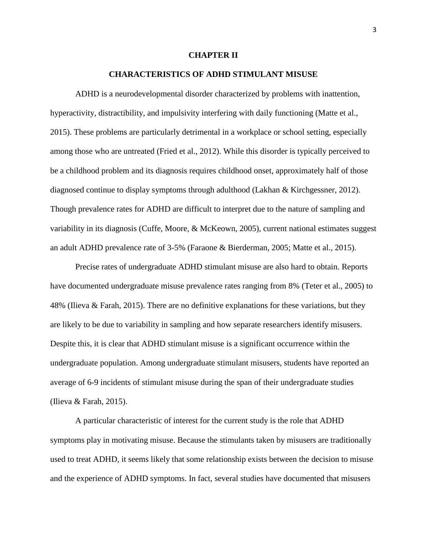#### **CHAPTER II**

#### **CHARACTERISTICS OF ADHD STIMULANT MISUSE**

ADHD is a neurodevelopmental disorder characterized by problems with inattention, hyperactivity, distractibility, and impulsivity interfering with daily functioning (Matte et al., 2015). These problems are particularly detrimental in a workplace or school setting, especially among those who are untreated (Fried et al., 2012). While this disorder is typically perceived to be a childhood problem and its diagnosis requires childhood onset, approximately half of those diagnosed continue to display symptoms through adulthood (Lakhan & Kirchgessner, 2012). Though prevalence rates for ADHD are difficult to interpret due to the nature of sampling and variability in its diagnosis (Cuffe, Moore, & McKeown, 2005), current national estimates suggest an adult ADHD prevalence rate of 3-5% (Faraone & Bierderman, 2005; Matte et al., 2015).

Precise rates of undergraduate ADHD stimulant misuse are also hard to obtain. Reports have documented undergraduate misuse prevalence rates ranging from 8% (Teter et al., 2005) to 48% (Ilieva & Farah, 2015). There are no definitive explanations for these variations, but they are likely to be due to variability in sampling and how separate researchers identify misusers. Despite this, it is clear that ADHD stimulant misuse is a significant occurrence within the undergraduate population. Among undergraduate stimulant misusers, students have reported an average of 6-9 incidents of stimulant misuse during the span of their undergraduate studies (Ilieva & Farah, 2015).

A particular characteristic of interest for the current study is the role that ADHD symptoms play in motivating misuse. Because the stimulants taken by misusers are traditionally used to treat ADHD, it seems likely that some relationship exists between the decision to misuse and the experience of ADHD symptoms. In fact, several studies have documented that misusers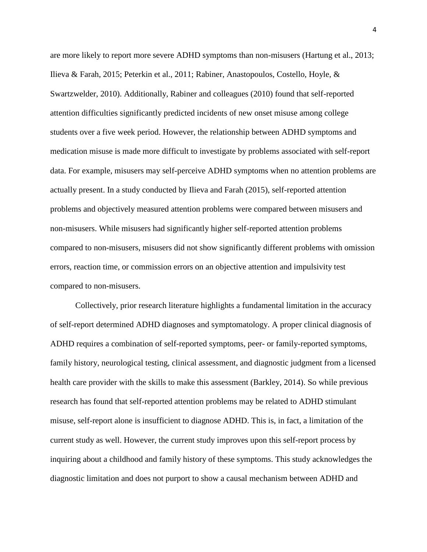are more likely to report more severe ADHD symptoms than non-misusers (Hartung et al., 2013; Ilieva & Farah, 2015; Peterkin et al., 2011; Rabiner, Anastopoulos, Costello, Hoyle, & Swartzwelder, 2010). Additionally, Rabiner and colleagues (2010) found that self-reported attention difficulties significantly predicted incidents of new onset misuse among college students over a five week period. However, the relationship between ADHD symptoms and medication misuse is made more difficult to investigate by problems associated with self-report data. For example, misusers may self-perceive ADHD symptoms when no attention problems are actually present. In a study conducted by Ilieva and Farah (2015), self-reported attention problems and objectively measured attention problems were compared between misusers and non-misusers. While misusers had significantly higher self-reported attention problems compared to non-misusers, misusers did not show significantly different problems with omission errors, reaction time, or commission errors on an objective attention and impulsivity test compared to non-misusers.

Collectively, prior research literature highlights a fundamental limitation in the accuracy of self-report determined ADHD diagnoses and symptomatology. A proper clinical diagnosis of ADHD requires a combination of self-reported symptoms, peer- or family-reported symptoms, family history, neurological testing, clinical assessment, and diagnostic judgment from a licensed health care provider with the skills to make this assessment (Barkley, 2014). So while previous research has found that self-reported attention problems may be related to ADHD stimulant misuse, self-report alone is insufficient to diagnose ADHD. This is, in fact, a limitation of the current study as well. However, the current study improves upon this self-report process by inquiring about a childhood and family history of these symptoms. This study acknowledges the diagnostic limitation and does not purport to show a causal mechanism between ADHD and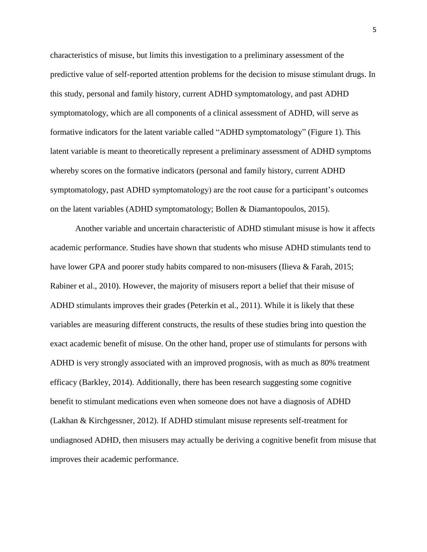characteristics of misuse, but limits this investigation to a preliminary assessment of the predictive value of self-reported attention problems for the decision to misuse stimulant drugs. In this study, personal and family history, current ADHD symptomatology, and past ADHD symptomatology, which are all components of a clinical assessment of ADHD, will serve as formative indicators for the latent variable called "ADHD symptomatology" (Figure 1). This latent variable is meant to theoretically represent a preliminary assessment of ADHD symptoms whereby scores on the formative indicators (personal and family history, current ADHD symptomatology, past ADHD symptomatology) are the root cause for a participant's outcomes on the latent variables (ADHD symptomatology; Bollen & Diamantopoulos, 2015).

Another variable and uncertain characteristic of ADHD stimulant misuse is how it affects academic performance. Studies have shown that students who misuse ADHD stimulants tend to have lower GPA and poorer study habits compared to non-misusers (Ilieva & Farah, 2015; Rabiner et al., 2010). However, the majority of misusers report a belief that their misuse of ADHD stimulants improves their grades (Peterkin et al., 2011). While it is likely that these variables are measuring different constructs, the results of these studies bring into question the exact academic benefit of misuse. On the other hand, proper use of stimulants for persons with ADHD is very strongly associated with an improved prognosis, with as much as 80% treatment efficacy (Barkley, 2014). Additionally, there has been research suggesting some cognitive benefit to stimulant medications even when someone does not have a diagnosis of ADHD (Lakhan & Kirchgessner, 2012). If ADHD stimulant misuse represents self-treatment for undiagnosed ADHD, then misusers may actually be deriving a cognitive benefit from misuse that improves their academic performance.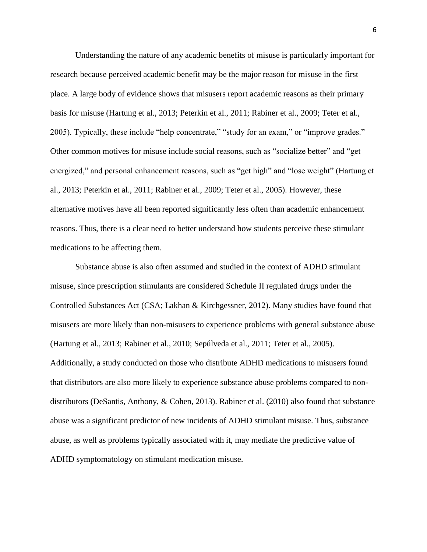Understanding the nature of any academic benefits of misuse is particularly important for research because perceived academic benefit may be the major reason for misuse in the first place. A large body of evidence shows that misusers report academic reasons as their primary basis for misuse (Hartung et al., 2013; Peterkin et al., 2011; Rabiner et al., 2009; Teter et al., 2005). Typically, these include "help concentrate," "study for an exam," or "improve grades." Other common motives for misuse include social reasons, such as "socialize better" and "get energized," and personal enhancement reasons, such as "get high" and "lose weight" (Hartung et al., 2013; Peterkin et al., 2011; Rabiner et al., 2009; Teter et al., 2005). However, these alternative motives have all been reported significantly less often than academic enhancement reasons. Thus, there is a clear need to better understand how students perceive these stimulant medications to be affecting them.

Substance abuse is also often assumed and studied in the context of ADHD stimulant misuse, since prescription stimulants are considered Schedule II regulated drugs under the Controlled Substances Act (CSA; Lakhan & Kirchgessner, 2012). Many studies have found that misusers are more likely than non-misusers to experience problems with general substance abuse (Hartung et al., 2013; Rabiner et al., 2010; Sepúlveda et al., 2011; Teter et al., 2005). Additionally, a study conducted on those who distribute ADHD medications to misusers found that distributors are also more likely to experience substance abuse problems compared to nondistributors (DeSantis, Anthony, & Cohen, 2013). Rabiner et al. (2010) also found that substance abuse was a significant predictor of new incidents of ADHD stimulant misuse. Thus, substance abuse, as well as problems typically associated with it, may mediate the predictive value of ADHD symptomatology on stimulant medication misuse.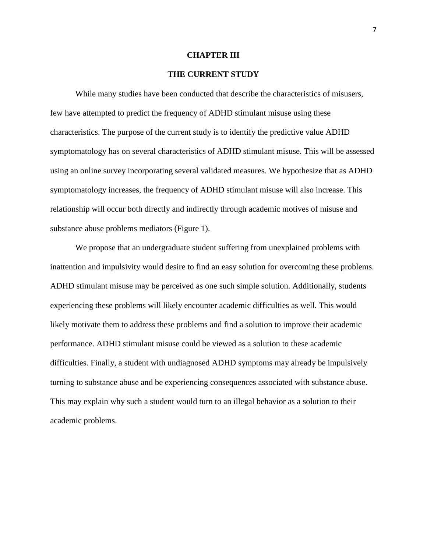#### **CHAPTER III**

## **THE CURRENT STUDY**

While many studies have been conducted that describe the characteristics of misusers, few have attempted to predict the frequency of ADHD stimulant misuse using these characteristics. The purpose of the current study is to identify the predictive value ADHD symptomatology has on several characteristics of ADHD stimulant misuse. This will be assessed using an online survey incorporating several validated measures. We hypothesize that as ADHD symptomatology increases, the frequency of ADHD stimulant misuse will also increase. This relationship will occur both directly and indirectly through academic motives of misuse and substance abuse problems mediators (Figure 1).

We propose that an undergraduate student suffering from unexplained problems with inattention and impulsivity would desire to find an easy solution for overcoming these problems. ADHD stimulant misuse may be perceived as one such simple solution. Additionally, students experiencing these problems will likely encounter academic difficulties as well. This would likely motivate them to address these problems and find a solution to improve their academic performance. ADHD stimulant misuse could be viewed as a solution to these academic difficulties. Finally, a student with undiagnosed ADHD symptoms may already be impulsively turning to substance abuse and be experiencing consequences associated with substance abuse. This may explain why such a student would turn to an illegal behavior as a solution to their academic problems.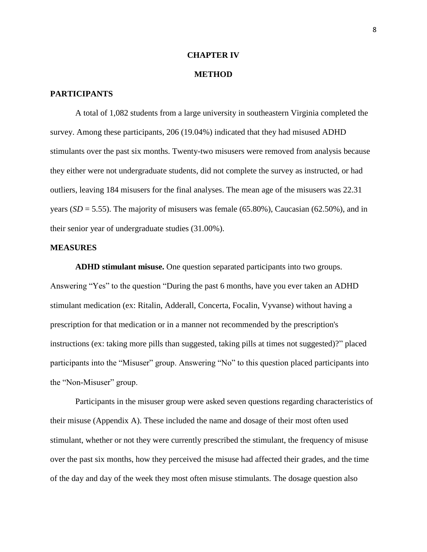#### **CHAPTER IV**

#### **METHOD**

#### **PARTICIPANTS**

A total of 1,082 students from a large university in southeastern Virginia completed the survey. Among these participants, 206 (19.04%) indicated that they had misused ADHD stimulants over the past six months. Twenty-two misusers were removed from analysis because they either were not undergraduate students, did not complete the survey as instructed, or had outliers, leaving 184 misusers for the final analyses. The mean age of the misusers was 22.31 years  $(SD = 5.55)$ . The majority of misusers was female (65.80%), Caucasian (62.50%), and in their senior year of undergraduate studies (31.00%).

#### **MEASURES**

**ADHD stimulant misuse.** One question separated participants into two groups. Answering "Yes" to the question "During the past 6 months, have you ever taken an ADHD stimulant medication (ex: Ritalin, Adderall, Concerta, Focalin, Vyvanse) without having a prescription for that medication or in a manner not recommended by the prescription's instructions (ex: taking more pills than suggested, taking pills at times not suggested)?" placed participants into the "Misuser" group. Answering "No" to this question placed participants into the "Non-Misuser" group.

Participants in the misuser group were asked seven questions regarding characteristics of their misuse (Appendix A). These included the name and dosage of their most often used stimulant, whether or not they were currently prescribed the stimulant, the frequency of misuse over the past six months, how they perceived the misuse had affected their grades, and the time of the day and day of the week they most often misuse stimulants. The dosage question also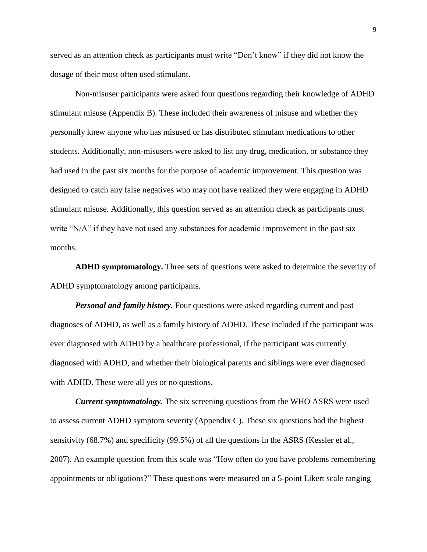served as an attention check as participants must write "Don't know" if they did not know the dosage of their most often used stimulant.

Non-misuser participants were asked four questions regarding their knowledge of ADHD stimulant misuse (Appendix B). These included their awareness of misuse and whether they personally knew anyone who has misused or has distributed stimulant medications to other students. Additionally, non-misusers were asked to list any drug, medication, or substance they had used in the past six months for the purpose of academic improvement. This question was designed to catch any false negatives who may not have realized they were engaging in ADHD stimulant misuse. Additionally, this question served as an attention check as participants must write "N/A" if they have not used any substances for academic improvement in the past six months.

**ADHD symptomatology.** Three sets of questions were asked to determine the severity of ADHD symptomatology among participants.

*Personal and family history.* Four questions were asked regarding current and past diagnoses of ADHD, as well as a family history of ADHD. These included if the participant was ever diagnosed with ADHD by a healthcare professional, if the participant was currently diagnosed with ADHD, and whether their biological parents and siblings were ever diagnosed with ADHD. These were all yes or no questions.

*Current symptomatology.* The six screening questions from the WHO ASRS were used to assess current ADHD symptom severity (Appendix C). These six questions had the highest sensitivity (68.7%) and specificity (99.5%) of all the questions in the ASRS (Kessler et al., 2007). An example question from this scale was "How often do you have problems remembering appointments or obligations?" These questions were measured on a 5-point Likert scale ranging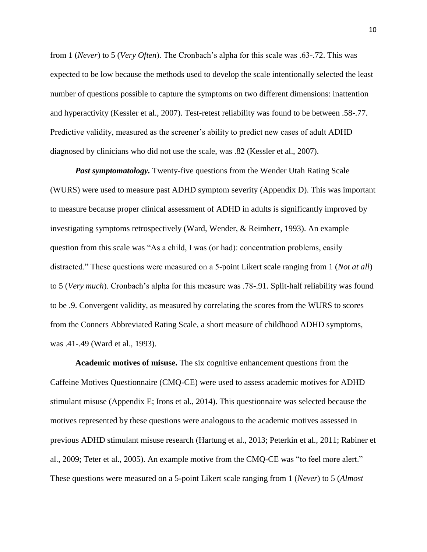from 1 (*Never*) to 5 (*Very Often*). The Cronbach's alpha for this scale was .63-.72. This was expected to be low because the methods used to develop the scale intentionally selected the least number of questions possible to capture the symptoms on two different dimensions: inattention and hyperactivity (Kessler et al., 2007). Test-retest reliability was found to be between .58-.77. Predictive validity, measured as the screener's ability to predict new cases of adult ADHD diagnosed by clinicians who did not use the scale, was .82 (Kessler et al., 2007).

*Past symptomatology.* Twenty-five questions from the Wender Utah Rating Scale (WURS) were used to measure past ADHD symptom severity (Appendix D). This was important to measure because proper clinical assessment of ADHD in adults is significantly improved by investigating symptoms retrospectively (Ward, Wender, & Reimherr, 1993). An example question from this scale was "As a child, I was (or had): concentration problems, easily distracted." These questions were measured on a 5-point Likert scale ranging from 1 (*Not at all*) to 5 (*Very much*). Cronbach's alpha for this measure was .78-.91. Split-half reliability was found to be .9. Convergent validity, as measured by correlating the scores from the WURS to scores from the Conners Abbreviated Rating Scale, a short measure of childhood ADHD symptoms, was .41-.49 (Ward et al., 1993).

**Academic motives of misuse.** The six cognitive enhancement questions from the Caffeine Motives Questionnaire (CMQ-CE) were used to assess academic motives for ADHD stimulant misuse (Appendix E; Irons et al., 2014). This questionnaire was selected because the motives represented by these questions were analogous to the academic motives assessed in previous ADHD stimulant misuse research (Hartung et al., 2013; Peterkin et al., 2011; Rabiner et al., 2009; Teter et al., 2005). An example motive from the CMQ-CE was "to feel more alert." These questions were measured on a 5-point Likert scale ranging from 1 (*Never*) to 5 (*Almost*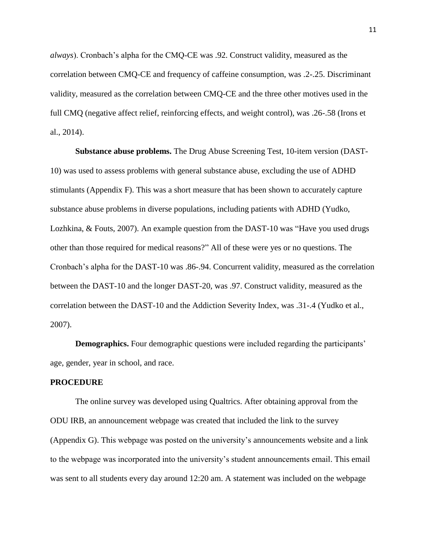*always*). Cronbach's alpha for the CMQ-CE was .92. Construct validity, measured as the correlation between CMQ-CE and frequency of caffeine consumption, was .2-.25. Discriminant validity, measured as the correlation between CMQ-CE and the three other motives used in the full CMQ (negative affect relief, reinforcing effects, and weight control), was .26-.58 (Irons et al., 2014).

**Substance abuse problems.** The Drug Abuse Screening Test, 10-item version (DAST-10) was used to assess problems with general substance abuse, excluding the use of ADHD stimulants (Appendix F). This was a short measure that has been shown to accurately capture substance abuse problems in diverse populations, including patients with ADHD (Yudko, Lozhkina, & Fouts, 2007). An example question from the DAST-10 was "Have you used drugs other than those required for medical reasons?" All of these were yes or no questions. The Cronbach's alpha for the DAST-10 was .86-.94. Concurrent validity, measured as the correlation between the DAST-10 and the longer DAST-20, was .97. Construct validity, measured as the correlation between the DAST-10 and the Addiction Severity Index, was .31-.4 (Yudko et al., 2007).

**Demographics.** Four demographic questions were included regarding the participants' age, gender, year in school, and race.

#### **PROCEDURE**

The online survey was developed using Qualtrics. After obtaining approval from the ODU IRB, an announcement webpage was created that included the link to the survey (Appendix G). This webpage was posted on the university's announcements website and a link to the webpage was incorporated into the university's student announcements email. This email was sent to all students every day around 12:20 am. A statement was included on the webpage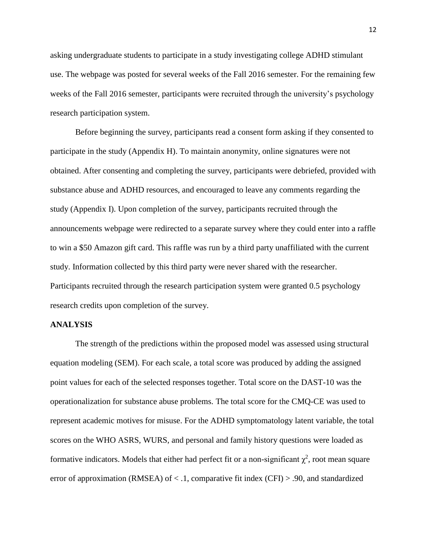asking undergraduate students to participate in a study investigating college ADHD stimulant use. The webpage was posted for several weeks of the Fall 2016 semester. For the remaining few weeks of the Fall 2016 semester, participants were recruited through the university's psychology research participation system.

Before beginning the survey, participants read a consent form asking if they consented to participate in the study (Appendix H). To maintain anonymity, online signatures were not obtained. After consenting and completing the survey, participants were debriefed, provided with substance abuse and ADHD resources, and encouraged to leave any comments regarding the study (Appendix I). Upon completion of the survey, participants recruited through the announcements webpage were redirected to a separate survey where they could enter into a raffle to win a \$50 Amazon gift card. This raffle was run by a third party unaffiliated with the current study. Information collected by this third party were never shared with the researcher. Participants recruited through the research participation system were granted 0.5 psychology research credits upon completion of the survey.

### **ANALYSIS**

The strength of the predictions within the proposed model was assessed using structural equation modeling (SEM). For each scale, a total score was produced by adding the assigned point values for each of the selected responses together. Total score on the DAST-10 was the operationalization for substance abuse problems. The total score for the CMQ-CE was used to represent academic motives for misuse. For the ADHD symptomatology latent variable, the total scores on the WHO ASRS, WURS, and personal and family history questions were loaded as formative indicators. Models that either had perfect fit or a non-significant  $\chi^2$ , root mean square error of approximation (RMSEA) of  $<$  .1, comparative fit index (CFI)  $>$  .90, and standardized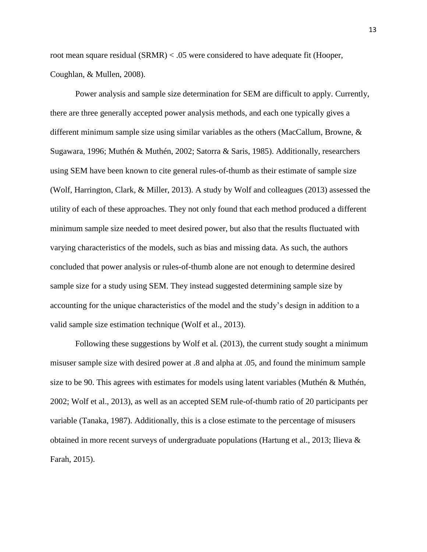root mean square residual  $(SRMR) < .05$  were considered to have adequate fit (Hooper, Coughlan, & Mullen, 2008).

Power analysis and sample size determination for SEM are difficult to apply. Currently, there are three generally accepted power analysis methods, and each one typically gives a different minimum sample size using similar variables as the others (MacCallum, Browne,  $\&$ Sugawara, 1996; Muthén & Muthén, 2002; Satorra & Saris, 1985). Additionally, researchers using SEM have been known to cite general rules-of-thumb as their estimate of sample size (Wolf, Harrington, Clark, & Miller, 2013). A study by Wolf and colleagues (2013) assessed the utility of each of these approaches. They not only found that each method produced a different minimum sample size needed to meet desired power, but also that the results fluctuated with varying characteristics of the models, such as bias and missing data. As such, the authors concluded that power analysis or rules-of-thumb alone are not enough to determine desired sample size for a study using SEM. They instead suggested determining sample size by accounting for the unique characteristics of the model and the study's design in addition to a valid sample size estimation technique (Wolf et al., 2013).

Following these suggestions by Wolf et al. (2013), the current study sought a minimum misuser sample size with desired power at .8 and alpha at .05, and found the minimum sample size to be 90. This agrees with estimates for models using latent variables (Muthén & Muthén, 2002; Wolf et al., 2013), as well as an accepted SEM rule-of-thumb ratio of 20 participants per variable (Tanaka, 1987). Additionally, this is a close estimate to the percentage of misusers obtained in more recent surveys of undergraduate populations (Hartung et al., 2013; Ilieva  $\&$ Farah, 2015).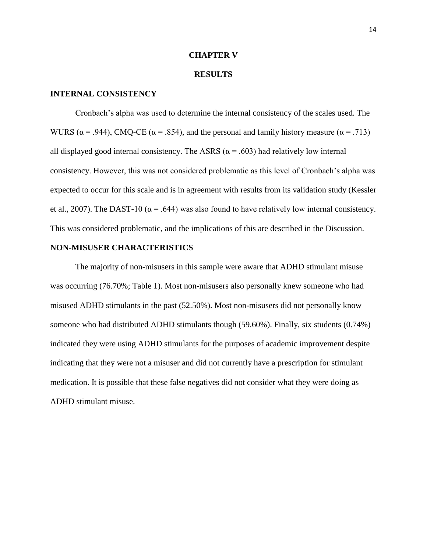#### **CHAPTER V**

#### **RESULTS**

## **INTERNAL CONSISTENCY**

Cronbach's alpha was used to determine the internal consistency of the scales used. The WURS ( $\alpha$  = .944), CMQ-CE ( $\alpha$  = .854), and the personal and family history measure ( $\alpha$  = .713) all displayed good internal consistency. The ASRS ( $\alpha$  = .603) had relatively low internal consistency. However, this was not considered problematic as this level of Cronbach's alpha was expected to occur for this scale and is in agreement with results from its validation study (Kessler et al., 2007). The DAST-10 ( $\alpha$  = .644) was also found to have relatively low internal consistency. This was considered problematic, and the implications of this are described in the Discussion.

## **NON-MISUSER CHARACTERISTICS**

The majority of non-misusers in this sample were aware that ADHD stimulant misuse was occurring (76.70%; Table 1). Most non-misusers also personally knew someone who had misused ADHD stimulants in the past (52.50%). Most non-misusers did not personally know someone who had distributed ADHD stimulants though (59.60%). Finally, six students (0.74%) indicated they were using ADHD stimulants for the purposes of academic improvement despite indicating that they were not a misuser and did not currently have a prescription for stimulant medication. It is possible that these false negatives did not consider what they were doing as ADHD stimulant misuse.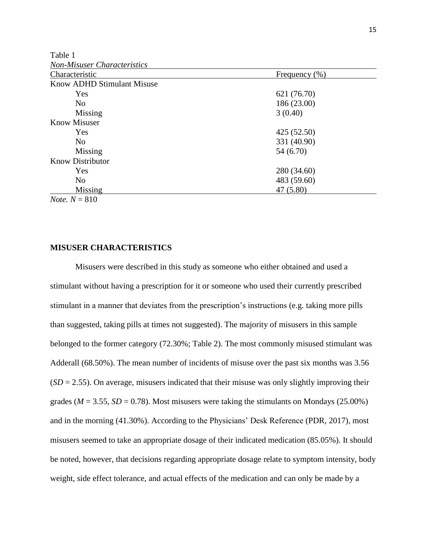| <b>Non-Misuser Characteristics</b> |                   |
|------------------------------------|-------------------|
| Characteristic                     | Frequency $(\% )$ |
| <b>Know ADHD Stimulant Misuse</b>  |                   |
| Yes                                | 621 (76.70)       |
| N <sub>o</sub>                     | 186 (23.00)       |
| Missing                            | 3(0.40)           |
| <b>Know Misuser</b>                |                   |
| Yes                                | 425 (52.50)       |
| N <sub>o</sub>                     | 331 (40.90)       |
| Missing                            | 54 (6.70)         |
| <b>Know Distributor</b>            |                   |
| Yes                                | 280 (34.60)       |
| N <sub>o</sub>                     | 483 (59.60)       |
| Missing                            | 47 (5.80)         |
| <i>Note.</i> $N = 810$             |                   |

Table 1

#### **MISUSER CHARACTERISTICS**

Misusers were described in this study as someone who either obtained and used a stimulant without having a prescription for it or someone who used their currently prescribed stimulant in a manner that deviates from the prescription's instructions (e.g. taking more pills than suggested, taking pills at times not suggested). The majority of misusers in this sample belonged to the former category (72.30%; Table 2). The most commonly misused stimulant was Adderall (68.50%). The mean number of incidents of misuse over the past six months was 3.56  $(SD = 2.55)$ . On average, misusers indicated that their misuse was only slightly improving their grades ( $M = 3.55$ ,  $SD = 0.78$ ). Most misusers were taking the stimulants on Mondays (25.00%) and in the morning (41.30%). According to the Physicians' Desk Reference (PDR, 2017), most misusers seemed to take an appropriate dosage of their indicated medication (85.05%). It should be noted, however, that decisions regarding appropriate dosage relate to symptom intensity, body weight, side effect tolerance, and actual effects of the medication and can only be made by a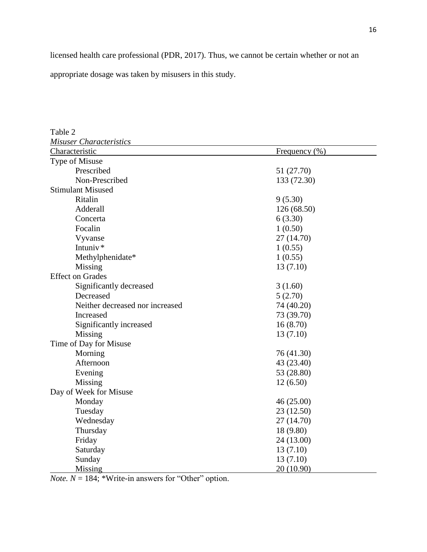licensed health care professional (PDR, 2017). Thus, we cannot be certain whether or not an appropriate dosage was taken by misusers in this study.

| Table 2                         |                   |
|---------------------------------|-------------------|
| <b>Misuser Characteristics</b>  |                   |
| Characteristic                  | Frequency $(\% )$ |
| Type of Misuse                  |                   |
| Prescribed                      | 51 (27.70)        |
| Non-Prescribed                  | 133 (72.30)       |
| <b>Stimulant Misused</b>        |                   |
| Ritalin                         | 9(5.30)           |
| Adderall                        | 126(68.50)        |
| Concerta                        | 6(3.30)           |
| Focalin                         | 1(0.50)           |
| Vyvanse                         | 27 (14.70)        |
| Intuniv <sup>*</sup>            | 1(0.55)           |
| Methylphenidate*                | 1(0.55)           |
| Missing                         | 13(7.10)          |
| <b>Effect on Grades</b>         |                   |
| Significantly decreased         | 3(1.60)           |
| Decreased                       | 5(2.70)           |
| Neither decreased nor increased | 74 (40.20)        |
| Increased                       | 73 (39.70)        |
| Significantly increased         | 16(8.70)          |
| Missing                         | 13(7.10)          |
| Time of Day for Misuse          |                   |
| Morning                         | 76 (41.30)        |
| Afternoon                       | 43 (23.40)        |
| Evening                         | 53 (28.80)        |
| Missing                         | 12(6.50)          |
| Day of Week for Misuse          |                   |
| Monday                          | 46(25.00)         |
| Tuesday                         | 23 (12.50)        |
| Wednesday                       | 27 (14.70)        |
| Thursday                        | 18 (9.80)         |
| Friday                          | 24 (13.00)        |
| Saturday                        | 13(7.10)          |
| Sunday                          | 13(7.10)          |
| Missing                         | 20 (10.90)        |

*Note.*  $N = 184$ ; \*Write-in answers for "Other" option.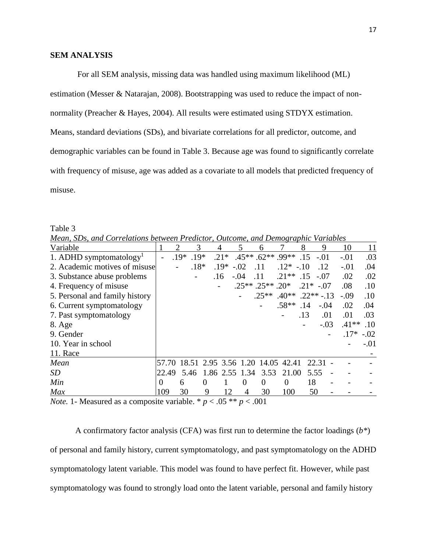## **SEM ANALYSIS**

For all SEM analysis, missing data was handled using maximum likelihood (ML) estimation (Messer & Natarajan, 2008). Bootstrapping was used to reduce the impact of nonnormality (Preacher & Hayes, 2004). All results were estimated using STDYX estimation. Means, standard deviations (SDs), and bivariate correlations for all predictor, outcome, and demographic variables can be found in Table 3. Because age was found to significantly correlate with frequency of misuse, age was added as a covariate to all models that predicted frequency of misuse.

| Mean, SDs, and Correlations between Predictor, Outcome, and Demographic Variables |          |        |        |        |          |                                 |            |     |            |         |        |
|-----------------------------------------------------------------------------------|----------|--------|--------|--------|----------|---------------------------------|------------|-----|------------|---------|--------|
| Variable                                                                          |          |        | 3      |        |          | 6                               |            |     |            | 10      | 11     |
| 1. ADHD symptomatology <sup>1</sup>                                               |          | $.19*$ | $.19*$ | $.21*$ |          | $.45***$ .62** .99**            |            | .15 | $-.01$     | $-.01$  | .03    |
| 2. Academic motives of misuse                                                     |          |        | $.18*$ | $.19*$ | $-.02$   | .11                             | $.12*-.10$ |     | .12        | $-.01$  | .04    |
| 3. Substance abuse problems                                                       |          |        |        | .16    | $-.04$   | .11                             | $.21**$    | .15 | $-.07$     | .02     | .02    |
| 4. Frequency of misuse                                                            |          |        |        |        |          | $.25**$ $.25**$ $.20*$          |            |     | $.21*-.07$ | .08     | .10    |
| 5. Personal and family history                                                    |          |        |        |        |          | $.25***$ $.40**$ $.22**$ $-.13$ |            |     |            | $-.09$  | .10    |
| 6. Current symptomatology                                                         |          |        |        |        |          |                                 | $.58**$    | .14 | $-.04$     | .02     | .04    |
| 7. Past symptomatology                                                            |          |        |        |        |          |                                 |            | .13 | .01        | .01     | .03    |
| 8. Age                                                                            |          |        |        |        |          |                                 |            |     | $-.03$     | $.41**$ | .10    |
| 9. Gender                                                                         |          |        |        |        |          |                                 |            |     |            | $.17*$  | $-.02$ |
| 10. Year in school                                                                |          |        |        |        |          |                                 |            |     |            |         | $-.01$ |
| 11. Race                                                                          |          |        |        |        |          |                                 |            |     |            |         |        |
| Mean                                                                              | 57.70    |        |        |        |          | 18.51 2.95 3.56 1.20 14.05      | 42.41      |     | $22.31 -$  |         |        |
| SD.                                                                               | 22.49    | 5.46   |        |        |          | 1.86 2.55 1.34 3.53             | 21.00      |     | 5.55       |         |        |
| Min                                                                               | $\Omega$ | 6      | 0      | 1      | $\Omega$ | $\Omega$                        | 0          | 18  |            |         |        |
| Max                                                                               | 109      | 30     | 9      | 12     |          | 30                              | 100        |     | 50         |         |        |

Table 3 *Mean, SDs, and Correlations between Predictor, Outcome, and Demographic Variables*

*Note.* 1- Measured as a composite variable.  $p < .05 \cdot p < .001$ 

A confirmatory factor analysis (CFA) was first run to determine the factor loadings (*b\**) of personal and family history, current symptomatology, and past symptomatology on the ADHD symptomatology latent variable. This model was found to have perfect fit. However, while past symptomatology was found to strongly load onto the latent variable, personal and family history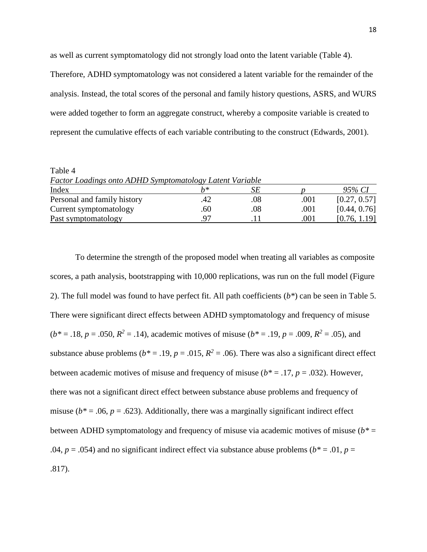as well as current symptomatology did not strongly load onto the latent variable (Table 4).

Therefore, ADHD symptomatology was not considered a latent variable for the remainder of the analysis. Instead, the total scores of the personal and family history questions, ASRS, and WURS were added together to form an aggregate construct, whereby a composite variable is created to represent the cumulative effects of each variable contributing to the construct (Edwards, 2001).

| Factor Loadings onto ADHD Symptomatology Latent Variable |     |     |      |              |  |  |  |
|----------------------------------------------------------|-----|-----|------|--------------|--|--|--|
| Index                                                    | h*  | SЕ  |      | 95% CI       |  |  |  |
| Personal and family history                              | 42  | .08 | .001 | [0.27, 0.57] |  |  |  |
| Current symptomatology                                   | .60 | .08 | .001 | [0.44, 0.76] |  |  |  |
| Past symptomatology                                      | Q7  |     | .001 | [0.76, 1.19] |  |  |  |
|                                                          |     |     |      |              |  |  |  |

Table 4

To determine the strength of the proposed model when treating all variables as composite scores, a path analysis, bootstrapping with 10,000 replications, was run on the full model (Figure 2). The full model was found to have perfect fit. All path coefficients (*b\**) can be seen in Table 5. There were significant direct effects between ADHD symptomatology and frequency of misuse  $(b^* = .18, p = .050, R^2 = .14)$ , academic motives of misuse  $(b^* = .19, p = .009, R^2 = .05)$ , and substance abuse problems ( $b^* = .19$ ,  $p = .015$ ,  $R^2 = .06$ ). There was also a significant direct effect between academic motives of misuse and frequency of misuse  $(b^* = .17, p = .032)$ . However, there was not a significant direct effect between substance abuse problems and frequency of misuse ( $b^*$  = .06,  $p$  = .623). Additionally, there was a marginally significant indirect effect between ADHD symptomatology and frequency of misuse via academic motives of misuse (*b\** = .04,  $p = .054$ ) and no significant indirect effect via substance abuse problems ( $b^* = .01$ ,  $p =$ .817).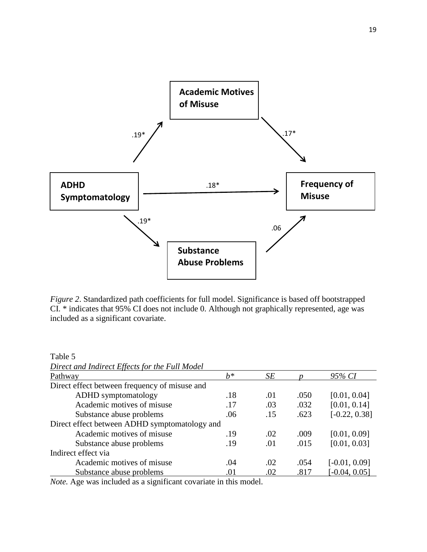

*Figure 2*. Standardized path coefficients for full model. Significance is based off bootstrapped CI. \* indicates that 95% CI does not include 0. Although not graphically represented, age was included as a significant covariate.

Table 5

*Direct and Indirect Effects for the Full Model*

| Pathway                                       | $h^*$ | SЕ  |      | 95% CI          |
|-----------------------------------------------|-------|-----|------|-----------------|
| Direct effect between frequency of misuse and |       |     |      |                 |
| ADHD symptomatology                           | .18   | .01 | .050 | [0.01, 0.04]    |
| Academic motives of misuse                    | .17   | .03 | .032 | [0.01, 0.14]    |
| Substance abuse problems                      | .06   | .15 | .623 | $[-0.22, 0.38]$ |
| Direct effect between ADHD symptomatology and |       |     |      |                 |
| Academic motives of misuse                    | .19   | .02 | .009 | [0.01, 0.09]    |
| Substance abuse problems                      | .19   | .01 | .015 | [0.01, 0.03]    |
| Indirect effect via                           |       |     |      |                 |
| Academic motives of misuse                    | .04   | .02 | .054 | $[-0.01, 0.09]$ |
| Substance abuse problems                      | .01   | .02 | .817 | $[-0.04, 0.05]$ |

*Note.* Age was included as a significant covariate in this model.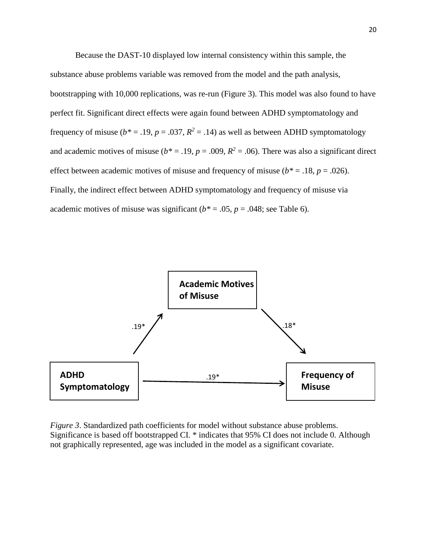Because the DAST-10 displayed low internal consistency within this sample, the substance abuse problems variable was removed from the model and the path analysis, bootstrapping with 10,000 replications, was re-run (Figure 3). This model was also found to have perfect fit. Significant direct effects were again found between ADHD symptomatology and frequency of misuse ( $b^* = .19$ ,  $p = .037$ ,  $R^2 = .14$ ) as well as between ADHD symptomatology and academic motives of misuse ( $b^* = .19$ ,  $p = .009$ ,  $R^2 = .06$ ). There was also a significant direct effect between academic motives of misuse and frequency of misuse ( $b^* = .18$ ,  $p = .026$ ). Finally, the indirect effect between ADHD symptomatology and frequency of misuse via academic motives of misuse was significant ( $b^* = .05$ ,  $p = .048$ ; see Table 6).



*Figure 3*. Standardized path coefficients for model without substance abuse problems. Significance is based off bootstrapped CI. \* indicates that 95% CI does not include 0. Although not graphically represented, age was included in the model as a significant covariate.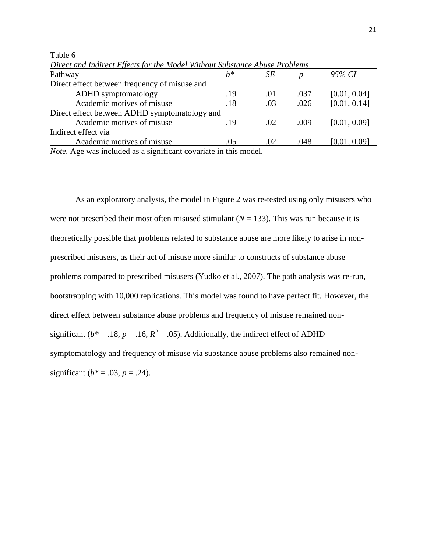| Direct and matricet Lifects for the model without substance ribuse I roblems                                                                                                                                                                                                    |       |     |      |              |  |  |
|---------------------------------------------------------------------------------------------------------------------------------------------------------------------------------------------------------------------------------------------------------------------------------|-------|-----|------|--------------|--|--|
| Pathway                                                                                                                                                                                                                                                                         | $h^*$ | SЕ  |      | 95% CI       |  |  |
| Direct effect between frequency of misuse and                                                                                                                                                                                                                                   |       |     |      |              |  |  |
| ADHD symptomatology                                                                                                                                                                                                                                                             | .19   | .01 | .037 | [0.01, 0.04] |  |  |
| Academic motives of misuse                                                                                                                                                                                                                                                      | .18   | .03 | .026 | [0.01, 0.14] |  |  |
| Direct effect between ADHD symptomatology and                                                                                                                                                                                                                                   |       |     |      |              |  |  |
| Academic motives of misuse                                                                                                                                                                                                                                                      | .19   | .02 | .009 | [0.01, 0.09] |  |  |
| Indirect effect via                                                                                                                                                                                                                                                             |       |     |      |              |  |  |
| Academic motives of misuse                                                                                                                                                                                                                                                      | .05   | .02 | .048 | [0.01, 0.09] |  |  |
| $\mathcal{M}$ , a set of $\mathcal{M}$ is the set of $\mathcal{M}$ is the set of $\mathcal{M}$ is the set of $\mathcal{M}$ is the set of $\mathcal{M}$ is the set of $\mathcal{M}$ is the set of $\mathcal{M}$ is the set of $\mathcal{M}$ is the set of $\mathcal{M}$ is the s |       |     |      |              |  |  |

Table 6 *Direct and Indirect Effects for the Model Without Substance Abuse Problems*

*Note.* Age was included as a significant covariate in this model.

As an exploratory analysis, the model in Figure 2 was re-tested using only misusers who were not prescribed their most often misused stimulant  $(N = 133)$ . This was run because it is theoretically possible that problems related to substance abuse are more likely to arise in nonprescribed misusers, as their act of misuse more similar to constructs of substance abuse problems compared to prescribed misusers (Yudko et al., 2007). The path analysis was re-run, bootstrapping with 10,000 replications. This model was found to have perfect fit. However, the direct effect between substance abuse problems and frequency of misuse remained nonsignificant ( $b^* = .18$ ,  $p = .16$ ,  $R^2 = .05$ ). Additionally, the indirect effect of ADHD symptomatology and frequency of misuse via substance abuse problems also remained nonsignificant ( $b^* = .03$ ,  $p = .24$ ).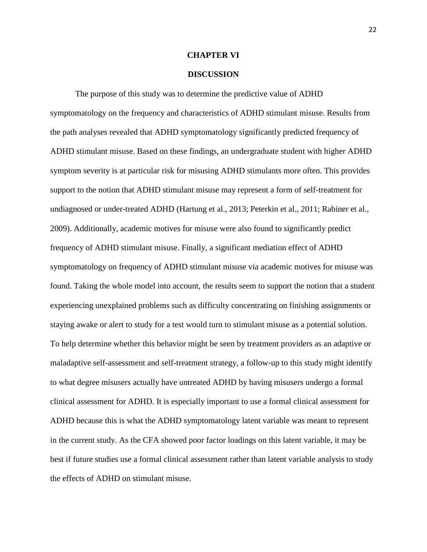#### **CHAPTER VI**

#### **DISCUSSION**

The purpose of this study was to determine the predictive value of ADHD symptomatology on the frequency and characteristics of ADHD stimulant misuse. Results from the path analyses revealed that ADHD symptomatology significantly predicted frequency of ADHD stimulant misuse. Based on these findings, an undergraduate student with higher ADHD symptom severity is at particular risk for misusing ADHD stimulants more often. This provides support to the notion that ADHD stimulant misuse may represent a form of self-treatment for undiagnosed or under-treated ADHD (Hartung et al., 2013; Peterkin et al., 2011; Rabiner et al., 2009). Additionally, academic motives for misuse were also found to significantly predict frequency of ADHD stimulant misuse. Finally, a significant mediation effect of ADHD symptomatology on frequency of ADHD stimulant misuse via academic motives for misuse was found. Taking the whole model into account, the results seem to support the notion that a student experiencing unexplained problems such as difficulty concentrating on finishing assignments or staying awake or alert to study for a test would turn to stimulant misuse as a potential solution. To help determine whether this behavior might be seen by treatment providers as an adaptive or maladaptive self-assessment and self-treatment strategy, a follow-up to this study might identify to what degree misusers actually have untreated ADHD by having misusers undergo a formal clinical assessment for ADHD. It is especially important to use a formal clinical assessment for ADHD because this is what the ADHD symptomatology latent variable was meant to represent in the current study. As the CFA showed poor factor loadings on this latent variable, it may be best if future studies use a formal clinical assessment rather than latent variable analysis to study the effects of ADHD on stimulant misuse.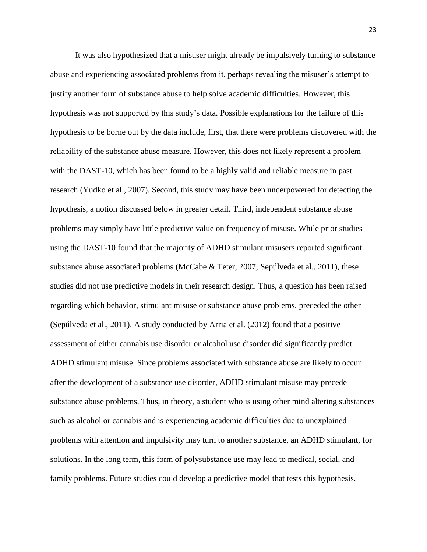It was also hypothesized that a misuser might already be impulsively turning to substance abuse and experiencing associated problems from it, perhaps revealing the misuser's attempt to justify another form of substance abuse to help solve academic difficulties. However, this hypothesis was not supported by this study's data. Possible explanations for the failure of this hypothesis to be borne out by the data include, first, that there were problems discovered with the reliability of the substance abuse measure. However, this does not likely represent a problem with the DAST-10, which has been found to be a highly valid and reliable measure in past research (Yudko et al., 2007). Second, this study may have been underpowered for detecting the hypothesis, a notion discussed below in greater detail. Third, independent substance abuse problems may simply have little predictive value on frequency of misuse. While prior studies using the DAST-10 found that the majority of ADHD stimulant misusers reported significant substance abuse associated problems (McCabe & Teter, 2007; Sepúlveda et al., 2011), these studies did not use predictive models in their research design. Thus, a question has been raised regarding which behavior, stimulant misuse or substance abuse problems, preceded the other (Sepúlveda et al., 2011). A study conducted by Arria et al. (2012) found that a positive assessment of either cannabis use disorder or alcohol use disorder did significantly predict ADHD stimulant misuse. Since problems associated with substance abuse are likely to occur after the development of a substance use disorder, ADHD stimulant misuse may precede substance abuse problems. Thus, in theory, a student who is using other mind altering substances such as alcohol or cannabis and is experiencing academic difficulties due to unexplained problems with attention and impulsivity may turn to another substance, an ADHD stimulant, for solutions. In the long term, this form of polysubstance use may lead to medical, social, and family problems. Future studies could develop a predictive model that tests this hypothesis.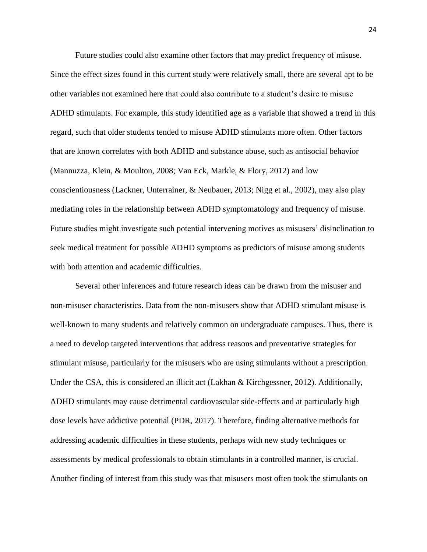Future studies could also examine other factors that may predict frequency of misuse. Since the effect sizes found in this current study were relatively small, there are several apt to be other variables not examined here that could also contribute to a student's desire to misuse ADHD stimulants. For example, this study identified age as a variable that showed a trend in this regard, such that older students tended to misuse ADHD stimulants more often. Other factors that are known correlates with both ADHD and substance abuse, such as antisocial behavior (Mannuzza, Klein, & Moulton, 2008; Van Eck, Markle, & Flory, 2012) and low conscientiousness (Lackner, Unterrainer, & Neubauer, 2013; Nigg et al., 2002), may also play mediating roles in the relationship between ADHD symptomatology and frequency of misuse. Future studies might investigate such potential intervening motives as misusers' disinclination to seek medical treatment for possible ADHD symptoms as predictors of misuse among students with both attention and academic difficulties.

Several other inferences and future research ideas can be drawn from the misuser and non-misuser characteristics. Data from the non-misusers show that ADHD stimulant misuse is well-known to many students and relatively common on undergraduate campuses. Thus, there is a need to develop targeted interventions that address reasons and preventative strategies for stimulant misuse, particularly for the misusers who are using stimulants without a prescription. Under the CSA, this is considered an illicit act (Lakhan & Kirchgessner, 2012). Additionally, ADHD stimulants may cause detrimental cardiovascular side-effects and at particularly high dose levels have addictive potential (PDR, 2017). Therefore, finding alternative methods for addressing academic difficulties in these students, perhaps with new study techniques or assessments by medical professionals to obtain stimulants in a controlled manner, is crucial. Another finding of interest from this study was that misusers most often took the stimulants on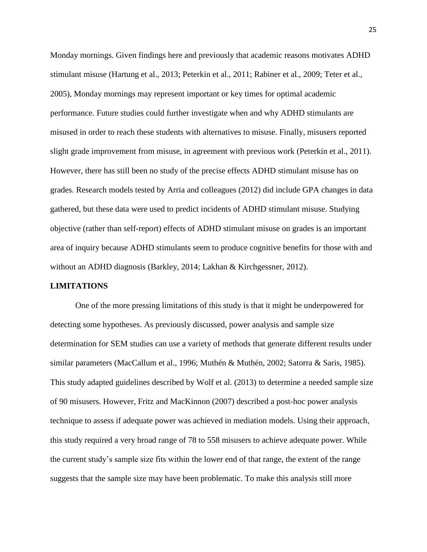Monday mornings. Given findings here and previously that academic reasons motivates ADHD stimulant misuse (Hartung et al., 2013; Peterkin et al., 2011; Rabiner et al., 2009; Teter et al., 2005), Monday mornings may represent important or key times for optimal academic performance. Future studies could further investigate when and why ADHD stimulants are misused in order to reach these students with alternatives to misuse. Finally, misusers reported slight grade improvement from misuse, in agreement with previous work (Peterkin et al., 2011). However, there has still been no study of the precise effects ADHD stimulant misuse has on grades. Research models tested by Arria and colleagues (2012) did include GPA changes in data gathered, but these data were used to predict incidents of ADHD stimulant misuse. Studying objective (rather than self-report) effects of ADHD stimulant misuse on grades is an important area of inquiry because ADHD stimulants seem to produce cognitive benefits for those with and without an ADHD diagnosis (Barkley, 2014; Lakhan & Kirchgessner, 2012).

#### **LIMITATIONS**

One of the more pressing limitations of this study is that it might be underpowered for detecting some hypotheses. As previously discussed, power analysis and sample size determination for SEM studies can use a variety of methods that generate different results under similar parameters (MacCallum et al., 1996; Muthén & Muthén, 2002; Satorra & Saris, 1985). This study adapted guidelines described by Wolf et al. (2013) to determine a needed sample size of 90 misusers. However, Fritz and MacKinnon (2007) described a post-hoc power analysis technique to assess if adequate power was achieved in mediation models. Using their approach, this study required a very broad range of 78 to 558 misusers to achieve adequate power. While the current study's sample size fits within the lower end of that range, the extent of the range suggests that the sample size may have been problematic. To make this analysis still more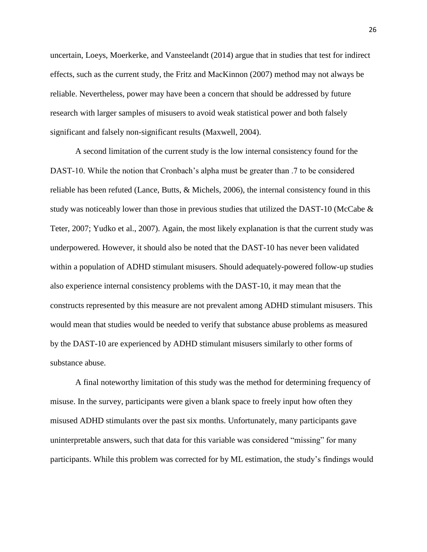uncertain, Loeys, Moerkerke, and Vansteelandt (2014) argue that in studies that test for indirect effects, such as the current study, the Fritz and MacKinnon (2007) method may not always be reliable. Nevertheless, power may have been a concern that should be addressed by future research with larger samples of misusers to avoid weak statistical power and both falsely significant and falsely non-significant results (Maxwell, 2004).

A second limitation of the current study is the low internal consistency found for the DAST-10. While the notion that Cronbach's alpha must be greater than .7 to be considered reliable has been refuted (Lance, Butts, & Michels, 2006), the internal consistency found in this study was noticeably lower than those in previous studies that utilized the DAST-10 (McCabe  $\&$ Teter, 2007; Yudko et al., 2007). Again, the most likely explanation is that the current study was underpowered. However, it should also be noted that the DAST-10 has never been validated within a population of ADHD stimulant misusers. Should adequately-powered follow-up studies also experience internal consistency problems with the DAST-10, it may mean that the constructs represented by this measure are not prevalent among ADHD stimulant misusers. This would mean that studies would be needed to verify that substance abuse problems as measured by the DAST-10 are experienced by ADHD stimulant misusers similarly to other forms of substance abuse.

A final noteworthy limitation of this study was the method for determining frequency of misuse. In the survey, participants were given a blank space to freely input how often they misused ADHD stimulants over the past six months. Unfortunately, many participants gave uninterpretable answers, such that data for this variable was considered "missing" for many participants. While this problem was corrected for by ML estimation, the study's findings would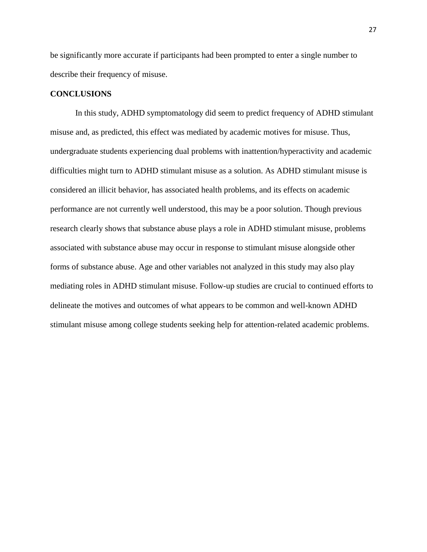be significantly more accurate if participants had been prompted to enter a single number to describe their frequency of misuse.

#### **CONCLUSIONS**

In this study, ADHD symptomatology did seem to predict frequency of ADHD stimulant misuse and, as predicted, this effect was mediated by academic motives for misuse. Thus, undergraduate students experiencing dual problems with inattention/hyperactivity and academic difficulties might turn to ADHD stimulant misuse as a solution. As ADHD stimulant misuse is considered an illicit behavior, has associated health problems, and its effects on academic performance are not currently well understood, this may be a poor solution. Though previous research clearly shows that substance abuse plays a role in ADHD stimulant misuse, problems associated with substance abuse may occur in response to stimulant misuse alongside other forms of substance abuse. Age and other variables not analyzed in this study may also play mediating roles in ADHD stimulant misuse. Follow-up studies are crucial to continued efforts to delineate the motives and outcomes of what appears to be common and well-known ADHD stimulant misuse among college students seeking help for attention-related academic problems.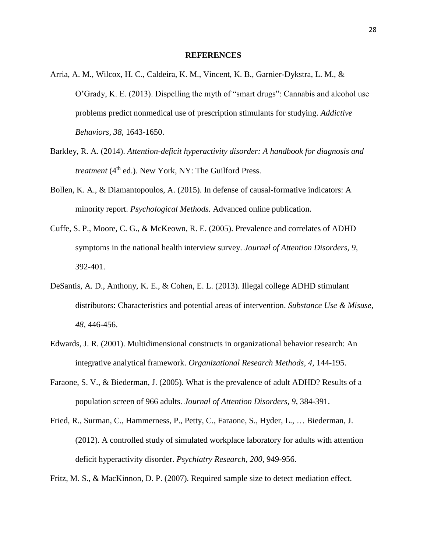#### **REFERENCES**

- Arria, A. M., Wilcox, H. C., Caldeira, K. M., Vincent, K. B., Garnier-Dykstra, L. M., & O'Grady, K. E. (2013). Dispelling the myth of "smart drugs": Cannabis and alcohol use problems predict nonmedical use of prescription stimulants for studying. *Addictive Behaviors, 38,* 1643-1650.
- Barkley, R. A. (2014). *Attention-deficit hyperactivity disorder: A handbook for diagnosis and treatment* (4<sup>th</sup> ed.). New York, NY: The Guilford Press.
- Bollen, K. A., & Diamantopoulos, A. (2015). In defense of causal-formative indicators: A minority report. *Psychological Methods.* Advanced online publication.
- Cuffe, S. P., Moore, C. G., & McKeown, R. E. (2005). Prevalence and correlates of ADHD symptoms in the national health interview survey. *Journal of Attention Disorders, 9*, 392-401.
- DeSantis, A. D., Anthony, K. E., & Cohen, E. L. (2013). Illegal college ADHD stimulant distributors: Characteristics and potential areas of intervention. *Substance Use & Misuse, 48*, 446-456.
- Edwards, J. R. (2001). Multidimensional constructs in organizational behavior research: An integrative analytical framework. *Organizational Research Methods, 4,* 144-195.
- Faraone, S. V., & Biederman, J. (2005). What is the prevalence of adult ADHD? Results of a population screen of 966 adults. *Journal of Attention Disorders, 9*, 384-391.
- Fried, R., Surman, C., Hammerness, P., Petty, C., Faraone, S., Hyder, L., … Biederman, J. (2012). A controlled study of simulated workplace laboratory for adults with attention deficit hyperactivity disorder. *Psychiatry Research, 200*, 949-956.

Fritz, M. S., & MacKinnon, D. P. (2007). Required sample size to detect mediation effect.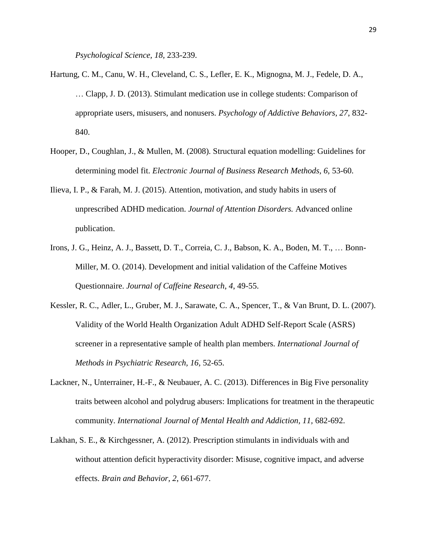*Psychological Science, 18,* 233-239.

- Hartung, C. M., Canu, W. H., Cleveland, C. S., Lefler, E. K., Mignogna, M. J., Fedele, D. A., … Clapp, J. D. (2013). Stimulant medication use in college students: Comparison of appropriate users, misusers, and nonusers. *Psychology of Addictive Behaviors, 27*, 832- 840.
- Hooper, D., Coughlan, J., & Mullen, M. (2008). Structural equation modelling: Guidelines for determining model fit. *Electronic Journal of Business Research Methods*, 6, 53-60.
- Ilieva, I. P., & Farah, M. J. (2015). Attention, motivation, and study habits in users of unprescribed ADHD medication. *Journal of Attention Disorders.* Advanced online publication.
- Irons, J. G., Heinz, A. J., Bassett, D. T., Correia, C. J., Babson, K. A., Boden, M. T., … Bonn-Miller, M. O. (2014). Development and initial validation of the Caffeine Motives Questionnaire. *Journal of Caffeine Research*, *4*, 49-55.
- Kessler, R. C., Adler, L., Gruber, M. J., Sarawate, C. A., Spencer, T., & Van Brunt, D. L. (2007). Validity of the World Health Organization Adult ADHD Self-Report Scale (ASRS) screener in a representative sample of health plan members. *International Journal of Methods in Psychiatric Research, 16,* 52-65.
- Lackner, N., Unterrainer, H.-F., & Neubauer, A. C. (2013). Differences in Big Five personality traits between alcohol and polydrug abusers: Implications for treatment in the therapeutic community. *International Journal of Mental Health and Addiction, 11,* 682-692.
- Lakhan, S. E., & Kirchgessner, A. (2012). Prescription stimulants in individuals with and without attention deficit hyperactivity disorder: Misuse, cognitive impact, and adverse effects. *Brain and Behavior, 2*, 661-677.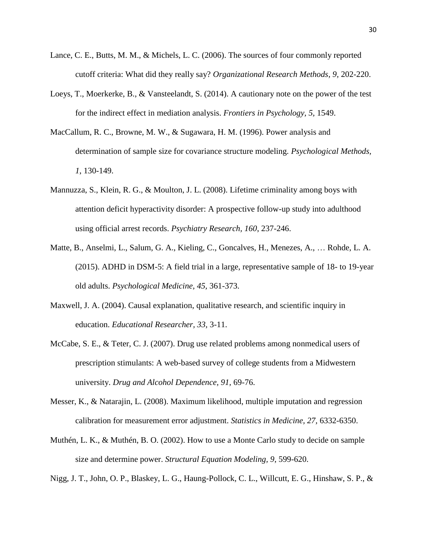- Lance, C. E., Butts, M. M., & Michels, L. C. (2006). The sources of four commonly reported cutoff criteria: What did they really say? *Organizational Research Methods, 9,* 202-220.
- Loeys, T., Moerkerke, B., & Vansteelandt, S. (2014). A cautionary note on the power of the test for the indirect effect in mediation analysis. *Frontiers in Psychology, 5,* 1549.
- MacCallum, R. C., Browne, M. W., & Sugawara, H. M. (1996). Power analysis and determination of sample size for covariance structure modeling. *Psychological Methods, 1*, 130-149.
- Mannuzza, S., Klein, R. G., & Moulton, J. L. (2008). Lifetime criminality among boys with attention deficit hyperactivity disorder: A prospective follow-up study into adulthood using official arrest records. *Psychiatry Research, 160*, 237-246.
- Matte, B., Anselmi, L., Salum, G. A., Kieling, C., Goncalves, H., Menezes, A., … Rohde, L. A. (2015). ADHD in DSM-5: A field trial in a large, representative sample of 18- to 19-year old adults. *Psychological Medicine, 45,* 361-373.
- Maxwell, J. A. (2004). Causal explanation, qualitative research, and scientific inquiry in education. *Educational Researcher, 33,* 3-11.
- McCabe, S. E., & Teter, C. J. (2007). Drug use related problems among nonmedical users of prescription stimulants: A web-based survey of college students from a Midwestern university. *Drug and Alcohol Dependence, 91,* 69-76.
- Messer, K., & Natarajin, L. (2008). Maximum likelihood, multiple imputation and regression calibration for measurement error adjustment. *Statistics in Medicine, 27,* 6332-6350.
- Muthén, L. K., & Muthén, B. O. (2002). How to use a Monte Carlo study to decide on sample size and determine power. *Structural Equation Modeling, 9*, 599-620.

Nigg, J. T., John, O. P., Blaskey, L. G., Haung-Pollock, C. L., Willcutt, E. G., Hinshaw, S. P., &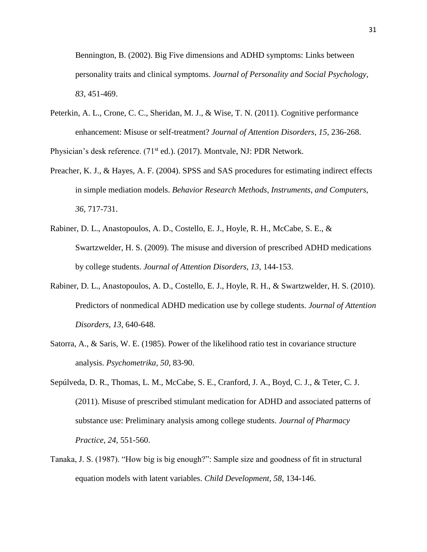Bennington, B. (2002). Big Five dimensions and ADHD symptoms: Links between personality traits and clinical symptoms. *Journal of Personality and Social Psychology, 83*, 451-469.

Peterkin, A. L., Crone, C. C., Sheridan, M. J., & Wise, T. N. (2011). Cognitive performance enhancement: Misuse or self-treatment? *Journal of Attention Disorders, 15*, 236-268.

Physician's desk reference. (71<sup>st</sup> ed.). (2017). Montvale, NJ: PDR Network.

- Preacher, K. J., & Hayes, A. F. (2004). SPSS and SAS procedures for estimating indirect effects in simple mediation models. *Behavior Research Methods, Instruments, and Computers, 36,* 717-731.
- Rabiner, D. L., Anastopoulos, A. D., Costello, E. J., Hoyle, R. H., McCabe, S. E., & Swartzwelder, H. S. (2009). The misuse and diversion of prescribed ADHD medications by college students. *Journal of Attention Disorders, 13*, 144-153.
- Rabiner, D. L., Anastopoulos, A. D., Costello, E. J., Hoyle, R. H., & Swartzwelder, H. S. (2010). Predictors of nonmedical ADHD medication use by college students. *Journal of Attention Disorders, 13*, 640-648.
- Satorra, A., & Saris, W. E. (1985). Power of the likelihood ratio test in covariance structure analysis. *Psychometrika, 50*, 83-90.
- Sepúlveda, D. R., Thomas, L. M., McCabe, S. E., Cranford, J. A., Boyd, C. J., & Teter, C. J. (2011). Misuse of prescribed stimulant medication for ADHD and associated patterns of substance use: Preliminary analysis among college students. *Journal of Pharmacy Practice, 24*, 551-560.
- Tanaka, J. S. (1987). "How big is big enough?": Sample size and goodness of fit in structural equation models with latent variables. *Child Development, 58*, 134-146.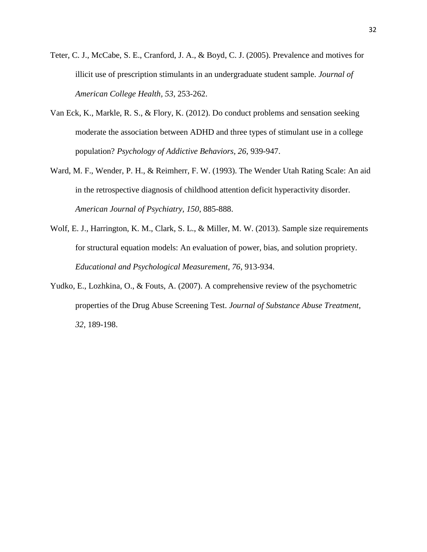- Teter, C. J., McCabe, S. E., Cranford, J. A., & Boyd, C. J. (2005). Prevalence and motives for illicit use of prescription stimulants in an undergraduate student sample. *Journal of American College Health, 53*, 253-262.
- Van Eck, K., Markle, R. S., & Flory, K. (2012). Do conduct problems and sensation seeking moderate the association between ADHD and three types of stimulant use in a college population? *Psychology of Addictive Behaviors, 26*, 939-947.
- Ward, M. F., Wender, P. H., & Reimherr, F. W. (1993). The Wender Utah Rating Scale: An aid in the retrospective diagnosis of childhood attention deficit hyperactivity disorder. *American Journal of Psychiatry, 150*, 885-888.
- Wolf, E. J., Harrington, K. M., Clark, S. L., & Miller, M. W. (2013). Sample size requirements for structural equation models: An evaluation of power, bias, and solution propriety. *Educational and Psychological Measurement, 76*, 913-934.
- Yudko, E., Lozhkina, O., & Fouts, A. (2007). A comprehensive review of the psychometric properties of the Drug Abuse Screening Test. *Journal of Substance Abuse Treatment, 32*, 189-198.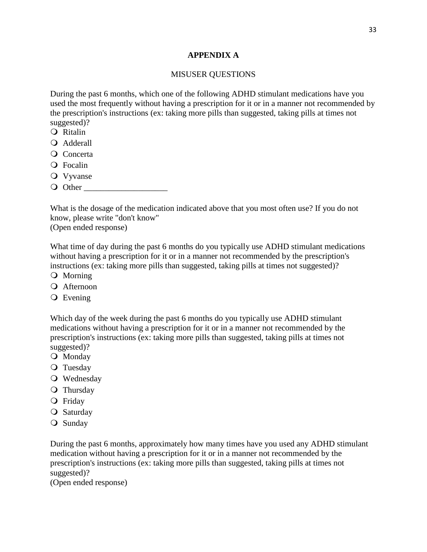## **APPENDIX A**

## MISUSER QUESTIONS

During the past 6 months, which one of the following ADHD stimulant medications have you used the most frequently without having a prescription for it or in a manner not recommended by the prescription's instructions (ex: taking more pills than suggested, taking pills at times not suggested)?

- Q Ritalin
- O Adderall
- O Concerta
- Focalin
- Vyvanse
- Q Other

What is the dosage of the medication indicated above that you most often use? If you do not know, please write "don't know" (Open ended response)

What time of day during the past 6 months do you typically use ADHD stimulant medications without having a prescription for it or in a manner not recommended by the prescription's instructions (ex: taking more pills than suggested, taking pills at times not suggested)?

- Morning
- Afternoon
- **Q** Evening

Which day of the week during the past 6 months do you typically use ADHD stimulant medications without having a prescription for it or in a manner not recommended by the prescription's instructions (ex: taking more pills than suggested, taking pills at times not suggested)?

- O Monday
- O Tuesday
- O Wednesday
- O Thursday
- Q Friday
- O Saturday
- Q Sunday

During the past 6 months, approximately how many times have you used any ADHD stimulant medication without having a prescription for it or in a manner not recommended by the prescription's instructions (ex: taking more pills than suggested, taking pills at times not suggested)?

(Open ended response)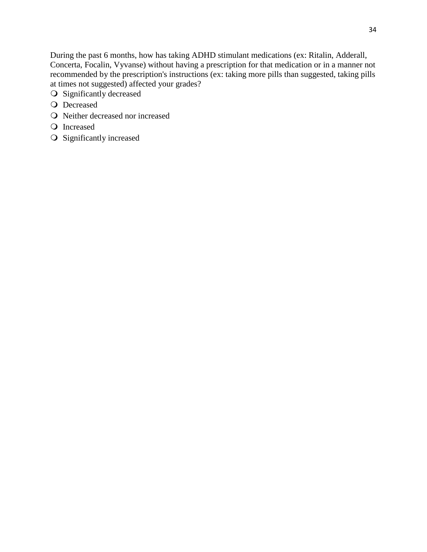During the past 6 months, how has taking ADHD stimulant medications (ex: Ritalin, Adderall, Concerta, Focalin, Vyvanse) without having a prescription for that medication or in a manner not recommended by the prescription's instructions (ex: taking more pills than suggested, taking pills at times not suggested) affected your grades?

- O Significantly decreased
- **O** Decreased
- O Neither decreased nor increased
- O Increased
- O Significantly increased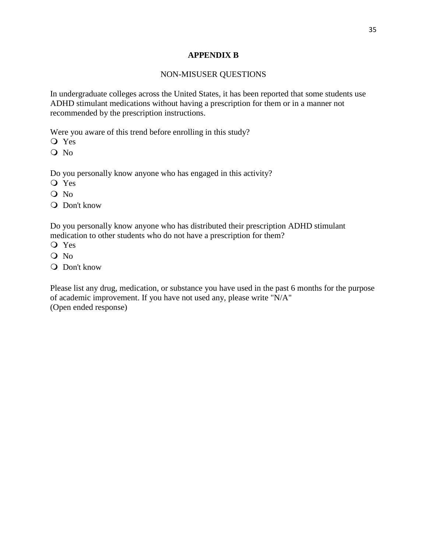## **APPENDIX B**

## NON-MISUSER QUESTIONS

In undergraduate colleges across the United States, it has been reported that some students use ADHD stimulant medications without having a prescription for them or in a manner not recommended by the prescription instructions.

Were you aware of this trend before enrolling in this study?

- Yes
- O No

Do you personally know anyone who has engaged in this activity?

- Yes
- Q No
- Don't know

Do you personally know anyone who has distributed their prescription ADHD stimulant medication to other students who do not have a prescription for them?

- Yes
- $O$  No
- Don't know

Please list any drug, medication, or substance you have used in the past 6 months for the purpose of academic improvement. If you have not used any, please write "N/A" (Open ended response)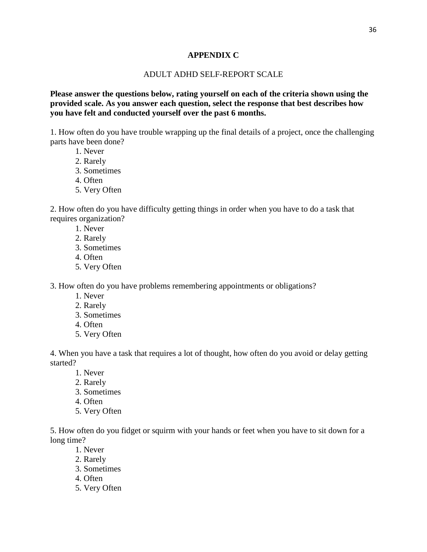## **APPENDIX C**

## ADULT ADHD SELF-REPORT SCALE

## **Please answer the questions below, rating yourself on each of the criteria shown using the provided scale. As you answer each question, select the response that best describes how you have felt and conducted yourself over the past 6 months.**

1. How often do you have trouble wrapping up the final details of a project, once the challenging parts have been done?

- 1. Never
- 2. Rarely
- 3. Sometimes
- 4. Often
- 5. Very Often

2. How often do you have difficulty getting things in order when you have to do a task that requires organization?

- 1. Never
- 2. Rarely
- 3. Sometimes
- 4. Often
- 5. Very Often

3. How often do you have problems remembering appointments or obligations?

- 1. Never
- 2. Rarely
- 3. Sometimes
- 4. Often
- 5. Very Often

4. When you have a task that requires a lot of thought, how often do you avoid or delay getting started?

- 1. Never
- 2. Rarely
- 3. Sometimes
- 4. Often
- 5. Very Often

5. How often do you fidget or squirm with your hands or feet when you have to sit down for a long time?

- 1. Never
- 2. Rarely
- 3. Sometimes
- 4. Often
- 5. Very Often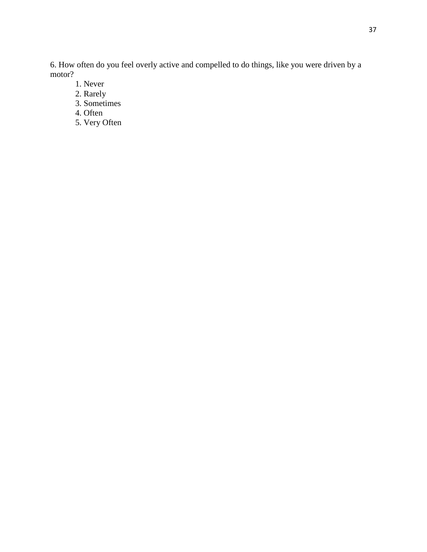6. How often do you feel overly active and compelled to do things, like you were driven by a motor?

- 1. Never
- 2. Rarely
- 3. Sometimes
- 4. Often
- 5. Very Often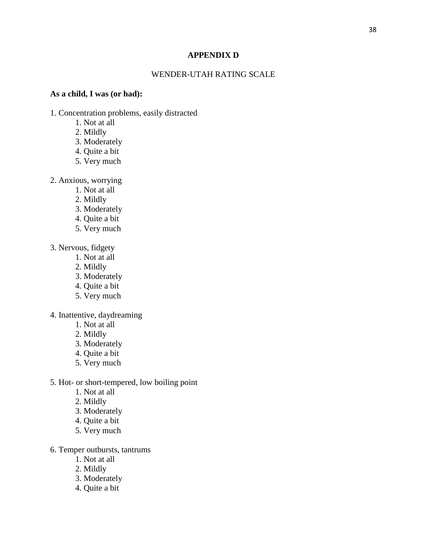## **APPENDIX D**

## WENDER-UTAH RATING SCALE

## **As a child, I was (or had):**

1. Concentration problems, easily distracted

- 1. Not at all
- 2. Mildly
- 3. Moderately
- 4. Quite a bit
- 5. Very much
- 2. Anxious, worrying
	- 1. Not at all
	- 2. Mildly
	- 3. Moderately
	- 4. Quite a bit
	- 5. Very much
- 3. Nervous, fidgety
	- 1. Not at all
	- 2. Mildly
	- 3. Moderately
	- 4. Quite a bit
	- 5. Very much
- 4. Inattentive, daydreaming
	- 1. Not at all
	- 2. Mildly
	- 3. Moderately
	- 4. Quite a bit
	- 5. Very much
- 5. Hot- or short-tempered, low boiling point
	- 1. Not at all
	- 2. Mildly
	- 3. Moderately
	- 4. Quite a bit
	- 5. Very much
- 6. Temper outbursts, tantrums
	- 1. Not at all
	- 2. Mildly
	- 3. Moderately
	- 4. Quite a bit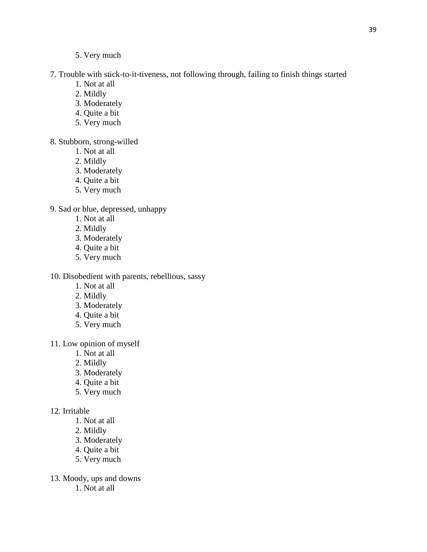- 7. Trouble with stick-to-it-tiveness, not following through, failing to finish things started
	- 1. Not at all
	- 2. Mildly
	- 3. Moderately
	- 4. Quite a bit
	- 5. Very much
- 8. Stubborn, strong-willed
	- 1. Not at all
	- 2. Mildly
	- 3. Moderately
	- 4. Quite a bit
	- 5. Very much

9. Sad or blue, depressed, unhappy

- 1. Not at all
- 2. Mildly
- 3. Moderately
- 4. Quite a bit
- 5. Very much

10. Disobedient with parents, rebellious, sassy

- 1. Not at all
- 2. Mildly
- 3. Moderately
- 4. Quite a bit
- 5. Very much

11. Low opinion of myself

- 1. Not at all
- 2. Mildly
- 3. Moderately
- 4. Quite a bit
- 5. Very much
- 12. Irritable
	- 1. Not at all
	- 2. Mildly
	- 3. Moderately
	- 4. Quite a bit
	- 5. Very much
- 13. Moody, ups and downs
	- 1. Not at all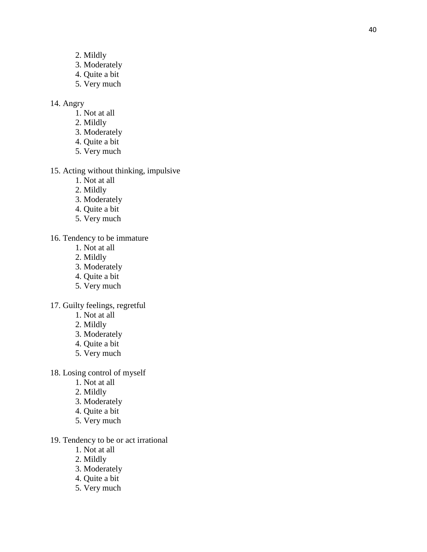- 2. Mildly
- 3. Moderately
- 4. Quite a bit
- 5. Very much

14. Angry

- 1. Not at all
- 2. Mildly
- 3. Moderately
- 4. Quite a bit
- 5. Very much

15. Acting without thinking, impulsive

- 1. Not at all
- 2. Mildly
- 3. Moderately
- 4. Quite a bit
- 5. Very much

16. Tendency to be immature

- 1. Not at all
- 2. Mildly
- 3. Moderately
- 4. Quite a bit
- 5. Very much

17. Guilty feelings, regretful

- 1. Not at all
- 2. Mildly
- 3. Moderately
- 4. Quite a bit
- 5. Very much

18. Losing control of myself

- 1. Not at all
- 2. Mildly
- 3. Moderately
- 4. Quite a bit
- 5. Very much
- 19. Tendency to be or act irrational
	- 1. Not at all
	- 2. Mildly
	- 3. Moderately
	- 4. Quite a bit
	- 5. Very much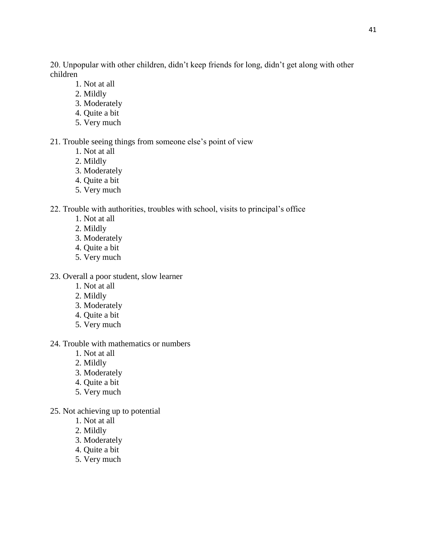20. Unpopular with other children, didn't keep friends for long, didn't get along with other children

- 1. Not at all
- 2. Mildly
- 3. Moderately
- 4. Quite a bit
- 5. Very much

21. Trouble seeing things from someone else's point of view

- 1. Not at all
- 2. Mildly
- 3. Moderately
- 4. Quite a bit
- 5. Very much

22. Trouble with authorities, troubles with school, visits to principal's office

- 1. Not at all
- 2. Mildly
- 3. Moderately
- 4. Quite a bit
- 5. Very much
- 23. Overall a poor student, slow learner
	- 1. Not at all
	- 2. Mildly
	- 3. Moderately
	- 4. Quite a bit
	- 5. Very much
- 24. Trouble with mathematics or numbers
	- 1. Not at all
	- 2. Mildly
	- 3. Moderately
	- 4. Quite a bit
	- 5. Very much
- 25. Not achieving up to potential
	- 1. Not at all
	- 2. Mildly
	- 3. Moderately
	- 4. Quite a bit
	- 5. Very much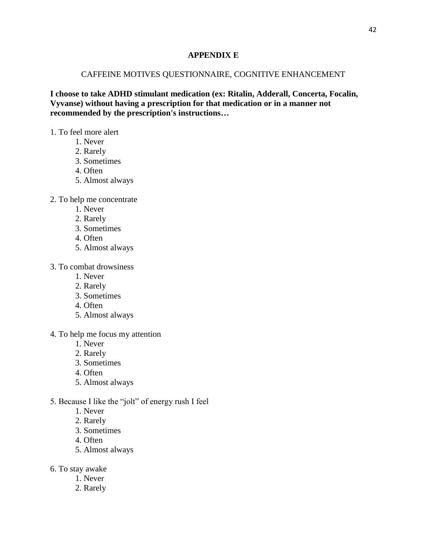## **APPENDIX E**

## CAFFEINE MOTIVES QUESTIONNAIRE, COGNITIVE ENHANCEMENT

**I choose to take ADHD stimulant medication (ex: Ritalin, Adderall, Concerta, Focalin, Vyvanse) without having a prescription for that medication or in a manner not recommended by the prescription's instructions…**

- 1. To feel more alert
	- 1. Never
	- 2. Rarely
	- 3. Sometimes
	- 4. Often
	- 5. Almost always
- 2. To help me concentrate
	- 1. Never
	- 2. Rarely
	- 3. Sometimes
	- 4. Often
	- 5. Almost always
- 3. To combat drowsiness
	- 1. Never
	- 2. Rarely
	- 3. Sometimes
	- 4. Often
	- 5. Almost always
- 4. To help me focus my attention
	- 1. Never
	- 2. Rarely
	- 3. Sometimes
	- 4. Often
	- 5. Almost always
- 5. Because I like the "jolt" of energy rush I feel
	- 1. Never
	- 2. Rarely
	- 3. Sometimes
	- 4. Often
	- 5. Almost always
- 6. To stay awake
	- 1. Never
	- 2. Rarely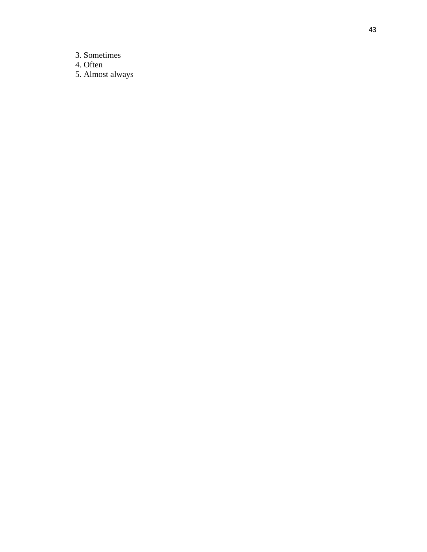- 3. Sometimes
- 4. Often
- 5. Almost always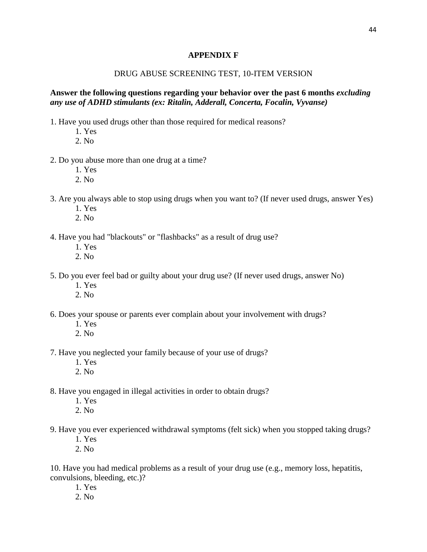## **APPENDIX F**

## DRUG ABUSE SCREENING TEST, 10-ITEM VERSION

## **Answer the following questions regarding your behavior over the past 6 months** *excluding any use of ADHD stimulants (ex: Ritalin, Adderall, Concerta, Focalin, Vyvanse)*

- 1. Have you used drugs other than those required for medical reasons?
	- 1. Yes
	- 2. No
- 2. Do you abuse more than one drug at a time?
	- 1. Yes
	- 2. No
- 3. Are you always able to stop using drugs when you want to? (If never used drugs, answer Yes)
	- 1. Yes
	- 2. No
- 4. Have you had "blackouts" or "flashbacks" as a result of drug use?
	- 1. Yes
	- 2. No
- 5. Do you ever feel bad or guilty about your drug use? (If never used drugs, answer No)
	- 1. Yes
	- 2. No
- 6. Does your spouse or parents ever complain about your involvement with drugs?
	- 1. Yes
	- 2. No
- 7. Have you neglected your family because of your use of drugs?
	- 1. Yes
	- 2. No
- 8. Have you engaged in illegal activities in order to obtain drugs?
	- 1. Yes
	- 2. No
- 9. Have you ever experienced withdrawal symptoms (felt sick) when you stopped taking drugs?
	- 1. Yes
	- 2. No

10. Have you had medical problems as a result of your drug use (e.g., memory loss, hepatitis, convulsions, bleeding, etc.)?

- 1. Yes
- 2. No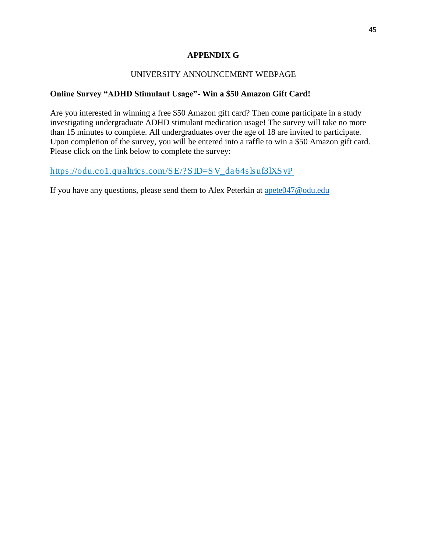## **APPENDIX G**

## UNIVERSITY ANNOUNCEMENT WEBPAGE

## **Online Survey "ADHD Stimulant Usage"- Win a \$50 Amazon Gift Card!**

Are you interested in winning a free \$50 Amazon gift card? Then come participate in a study investigating undergraduate ADHD stimulant medication usage! The survey will take no more than 15 minutes to complete. All undergraduates over the age of 18 are invited to participate. Upon completion of the survey, you will be entered into a raffle to win a \$50 Amazon gift card. Please click on the link below to complete the survey:

[https://odu.co1.qualtrics.com/SE/?SID=SV\\_da64slsuf3lXSvP](https://odu.co1.qualtrics.com/SE/?SID=SV_da64slsuf3lXSvP)

If you have any questions, please send them to Alex Peterkin at [apete047@odu.edu](mailto:apete047@odu.edu)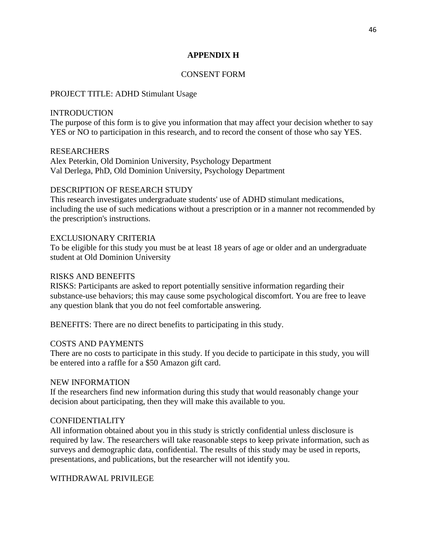## **APPENDIX H**

## CONSENT FORM

## PROJECT TITLE: ADHD Stimulant Usage

## **INTRODUCTION**

The purpose of this form is to give you information that may affect your decision whether to say YES or NO to participation in this research, and to record the consent of those who say YES.

#### RESEARCHERS

Alex Peterkin, Old Dominion University, Psychology Department Val Derlega, PhD, Old Dominion University, Psychology Department

#### DESCRIPTION OF RESEARCH STUDY

This research investigates undergraduate students' use of ADHD stimulant medications, including the use of such medications without a prescription or in a manner not recommended by the prescription's instructions.

## EXCLUSIONARY CRITERIA

To be eligible for this study you must be at least 18 years of age or older and an undergraduate student at Old Dominion University

#### RISKS AND BENEFITS

RISKS: Participants are asked to report potentially sensitive information regarding their substance-use behaviors; this may cause some psychological discomfort. You are free to leave any question blank that you do not feel comfortable answering.

BENEFITS: There are no direct benefits to participating in this study.

## COSTS AND PAYMENTS

There are no costs to participate in this study. If you decide to participate in this study, you will be entered into a raffle for a \$50 Amazon gift card.

#### NEW INFORMATION

If the researchers find new information during this study that would reasonably change your decision about participating, then they will make this available to you.

#### CONFIDENTIALITY

All information obtained about you in this study is strictly confidential unless disclosure is required by law. The researchers will take reasonable steps to keep private information, such as surveys and demographic data, confidential. The results of this study may be used in reports, presentations, and publications, but the researcher will not identify you.

## WITHDRAWAL PRIVILEGE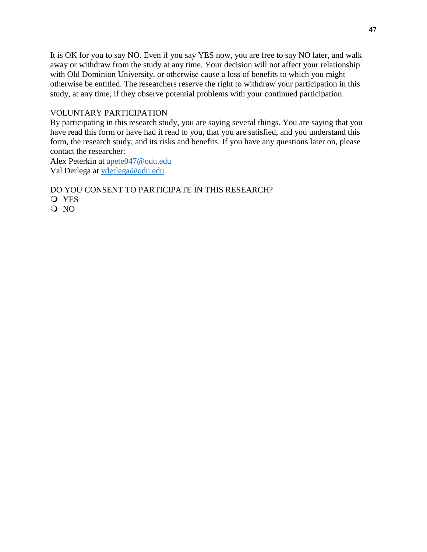It is OK for you to say NO. Even if you say YES now, you are free to say NO later, and walk away or withdraw from the study at any time. Your decision will not affect your relationship with Old Dominion University, or otherwise cause a loss of benefits to which you might otherwise be entitled. The researchers reserve the right to withdraw your participation in this study, at any time, if they observe potential problems with your continued participation.

## VOLUNTARY PARTICIPATION

By participating in this research study, you are saying several things. You are saying that you have read this form or have had it read to you, that you are satisfied, and you understand this form, the research study, and its risks and benefits. If you have any questions later on, please contact the researcher:

Alex Peterkin at [apete047@odu.edu](mailto:apete047@odu.edu) Val Derlega at [vderlega@odu.edu](mailto:vderlega@odu.edu)

DO YOU CONSENT TO PARTICIPATE IN THIS RESEARCH?

YES

Q NO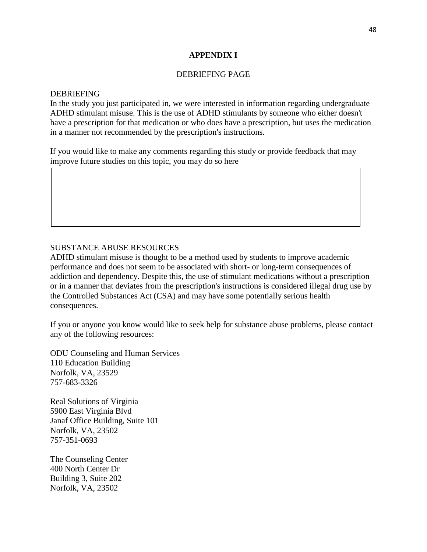## **APPENDIX I**

## DEBRIEFING PAGE

## DEBRIEFING

In the study you just participated in, we were interested in information regarding undergraduate ADHD stimulant misuse. This is the use of ADHD stimulants by someone who either doesn't have a prescription for that medication or who does have a prescription, but uses the medication in a manner not recommended by the prescription's instructions.

If you would like to make any comments regarding this study or provide feedback that may improve future studies on this topic, you may do so here

## SUBSTANCE ABUSE RESOURCES

ADHD stimulant misuse is thought to be a method used by students to improve academic performance and does not seem to be associated with short- or long-term consequences of addiction and dependency. Despite this, the use of stimulant medications without a prescription or in a manner that deviates from the prescription's instructions is considered illegal drug use by the Controlled Substances Act (CSA) and may have some potentially serious health consequences.

If you or anyone you know would like to seek help for substance abuse problems, please contact any of the following resources:

ODU Counseling and Human Services 110 Education Building Norfolk, VA, 23529 757-683-3326

Real Solutions of Virginia 5900 East Virginia Blvd Janaf Office Building, Suite 101 Norfolk, VA, 23502 757-351-0693

The Counseling Center 400 North Center Dr Building 3, Suite 202 Norfolk, VA, 23502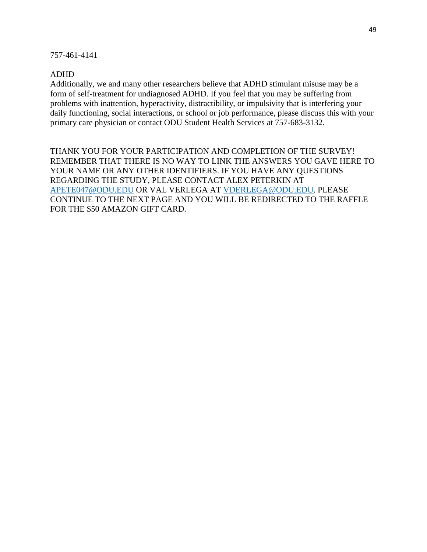## 757-461-4141

## ADHD

Additionally, we and many other researchers believe that ADHD stimulant misuse may be a form of self-treatment for undiagnosed ADHD. If you feel that you may be suffering from problems with inattention, hyperactivity, distractibility, or impulsivity that is interfering your daily functioning, social interactions, or school or job performance, please discuss this with your primary care physician or contact ODU Student Health Services at 757-683-3132.

THANK YOU FOR YOUR PARTICIPATION AND COMPLETION OF THE SURVEY! REMEMBER THAT THERE IS NO WAY TO LINK THE ANSWERS YOU GAVE HERE TO YOUR NAME OR ANY OTHER IDENTIFIERS. IF YOU HAVE ANY QUESTIONS REGARDING THE STUDY, PLEASE CONTACT ALEX PETERKIN AT [APETE047@ODU.EDU](mailto:APETE047@ODU.EDU) OR VAL VERLEGA AT [VDERLEGA@ODU.EDU.](mailto:VDERLEGA@ODU.EDU) PLEASE CONTINUE TO THE NEXT PAGE AND YOU WILL BE REDIRECTED TO THE RAFFLE FOR THE \$50 AMAZON GIFT CARD.